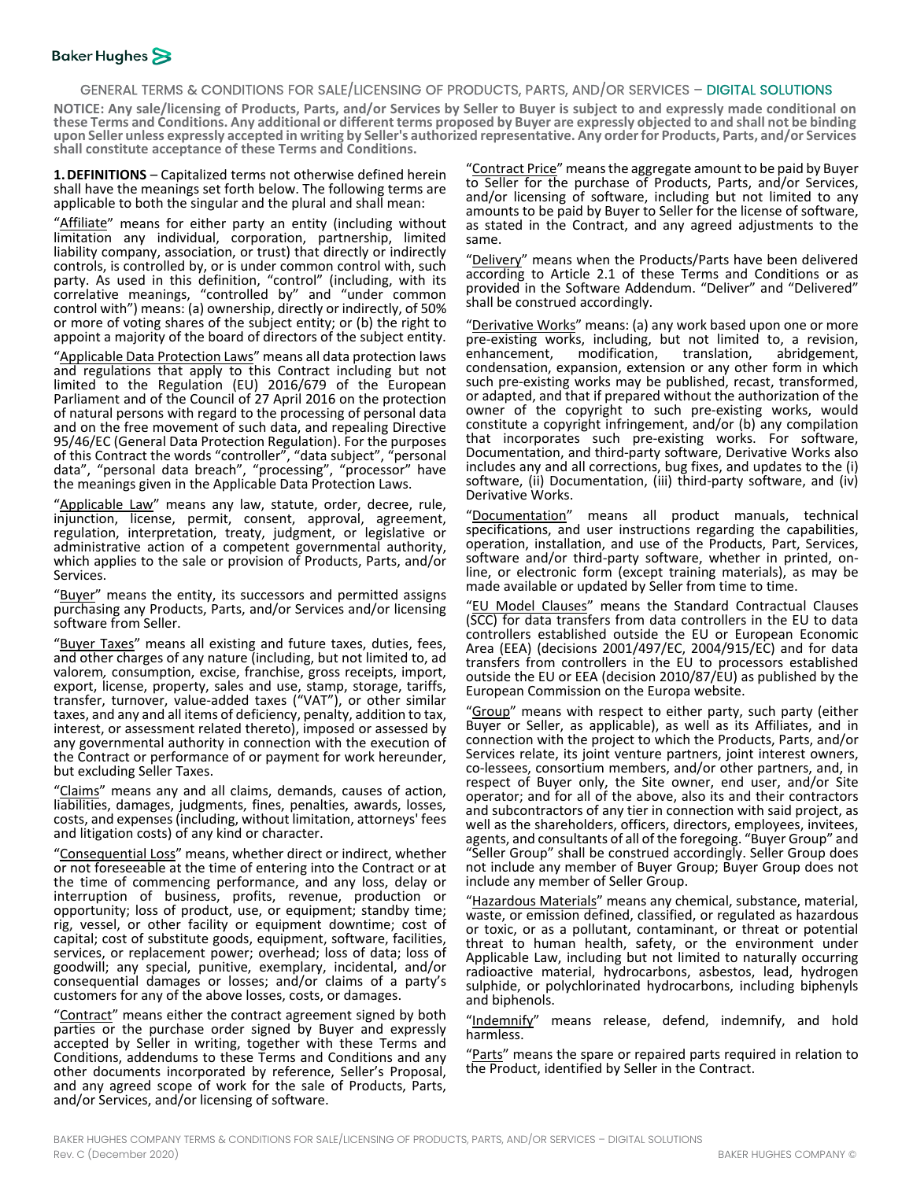### GENERAL TERMS & CONDITIONS FOR SALE/LICENSING OF PRODUCTS, PARTS, AND/OR SERVICES – DIGITAL SOLUTIONS

**NOTICE: Any sale/licensing of Products, Parts, and/or Services by Seller to Buyer is subject to and expressly made conditional on** these Terms and Conditions. Any additional or different terms proposed by Buyer are expressly objected to and shall not be binding<br>upon Seller unless expressly accepted in writing by Seller's authorized representative. Any **shall constitute acceptance of these Terms and Conditions.**

**1.DEFINITIONS** – Capitalized terms not otherwise defined herein shall have the meanings set forth below. The following terms are applicable to both the singular and the plural and shall mean:

"Affiliate" means for either party an entity (including without limitation any individual, corporation, partnership, limited liability company, association, or trust) that directly or indirectly controls, is controlled by, or is under common control with, such party. As used in this definition, "control" (including, with its correlative meanings, "controlled by" and "under common control with") means: (a) ownership, directly or indirectly, of 50% or more of voting shares of the subject entity; or (b) the right to appoint a majority of the board of directors of the subject entity.

"Applicable Data Protection Laws" means all data protection laws and regulations that apply to this Contract including but not limited to the Regulation (EU) 2016/679 of the European Parliament and of the Council of 27 April 2016 on the protection of natural persons with regard to the processing of personal data and on the free movement of such data, and repealing Directive 95/46/EC (General Data Protection Regulation). For the purposes of this Contract the words "controller", "data subject", "personal data", "personal data breach", "processing", "processor" have the meanings given in the Applicable Data Protection Laws.

"Applicable Law" means any law, statute, order, decree, rule, injunction, license, permit, consent, approval, agreement, regulation, interpretation, treaty, judgment, or legislative or administrative action of a competent governmental authority, which applies to the sale or provision of Products, Parts, and/or Services.

"Buyer" means the entity, its successors and permitted assigns purchasing any Products, Parts, and/or Services and/or licensing software from Seller.

"Buyer Taxes" means all existing and future taxes, duties, fees, and other charges of any nature (including, but not limited to, ad valorem*,* consumption, excise, franchise, gross receipts, import, export, license, property, sales and use, stamp, storage, tariffs, transfer, turnover, value-added taxes ("VAT"), or other similar taxes, and any and all items of deficiency, penalty, addition to tax, interest, or assessment related thereto), imposed or assessed by any governmental authority in connection with the execution of the Contract or performance of or payment for work hereunder, but excluding Seller Taxes.

"Claims" means any and all claims, demands, causes of action, liabilities, damages, judgments, fines, penalties, awards, losses, costs, and expenses (including, without limitation, attorneys' fees and litigation costs) of any kind or character.

"Consequential Loss" means, whether direct or indirect, whether or not foreseeable at the time of entering into the Contract or at the time of commencing performance, and any loss, delay or interruption of business, profits, revenue, production or opportunity; loss of product, use, or equipment; standby time; rig, vessel, or other facility or equipment downtime; cost of capital; cost of substitute goods, equipment, software, facilities, services, or replacement power; overhead; loss of data; loss of goodwill; any special, punitive, exemplary, incidental, and/or consequential damages or losses; and/or claims of a party's customers for any of the above losses, costs, or damages.

"Contract" means either the contract agreement signed by both parties or the purchase order signed by Buyer and expressly accepted by Seller in writing, together with these Terms and Conditions, addendums to these Terms and Conditions and any other documents incorporated by reference, Seller's Proposal, and any agreed scope of work for the sale of Products, Parts, and/or Services, and/or licensing of software.

"Contract Price" means the aggregate amount to be paid by Buyer to Seller for the purchase of Products, Parts, and/or Services, and/or licensing of software, including but not limited to any amounts to be paid by Buyer to Seller for the license of software, as stated in the Contract, and any agreed adjustments to the same.

'Delivery" means when the Products/Parts have been delivered according to Article [2.1](#page-1-0) of these Terms and Conditions or as provided in the Software Addendum. "Deliver" and "Delivered" shall be construed accordingly.

"Derivative Works" means: (a) any work based upon one or more pre-existing works, including, but not limited to, a revision, enhancement, modification, translation, abridgement, modification, translation, abridgement, condensation, expansion, extension or any other form in which such pre-existing works may be published, recast, transformed, or adapted, and that if prepared without the authorization of the owner of the copyright to such pre-existing works, would constitute a copyright infringement, and/or (b) any compilation that incorporates such pre-existing works. For software, Documentation, and third-party software, Derivative Works also includes any and all corrections, bug fixes, and updates to the (i) software, (ii) Documentation, (iii) third-party software, and (iv) Derivative Works.

"Documentation" means all product manuals, technical specifications, and user instructions regarding the capabilities, operation, installation, and use of the Products, Part, Services, software and/or third-party software, whether in printed, on- line, or electronic form (except training materials), as may be made available or updated by Seller from time to time.

"EU Model Clauses" means the Standard Contractual Clauses (SCC) for data transfers from data controllers in the EU to data controllers established outside the EU or European Economic Area (EEA) (decisions 2001/497/EC, 2004/915/EC) and for data transfers from controllers in the EU to processors established outside the EU or EEA (decision 2010/87/EU) as published by the European Commission on the Europa website.

"Group" means with respect to either party, such party (either Buyer or Seller, as applicable), as well as its Affiliates, and in connection with the project to which the Products, Parts, and/or co-lessees, consortium members, and/or other partners, and, in respect of Buyer only, the Site owner, end user, and/or Site operator; and for all of the above, also its and their contractors and subcontractors of any tier in connection with said project, as well as the shareholders, officers, directors, employees, invitees, agents, and consultants of all of the foregoing. "Buyer Group" and "Seller Group" shall be construed accordingly. Seller Group does not include any member of Buyer Group; Buyer Group does not include any member of Seller Group.

"Hazardous Materials" means any chemical, substance, material, waste, or emission defined, classified, or regulated as hazardous or toxic, or as a pollutant, contaminant, or threat or potential threat to human health, safety, or the environment under Applicable Law, including but not limited to naturally occurring radioactive material, hydrocarbons, asbestos, lead, hydrogen sulphide, or polychlorinated hydrocarbons, including biphenyls and biphenols.

'Indemnify" means release, defend, indemnify, and hold harmless.

Parts" means the spare or repaired parts required in relation to the Product, identified by Seller in the Contract.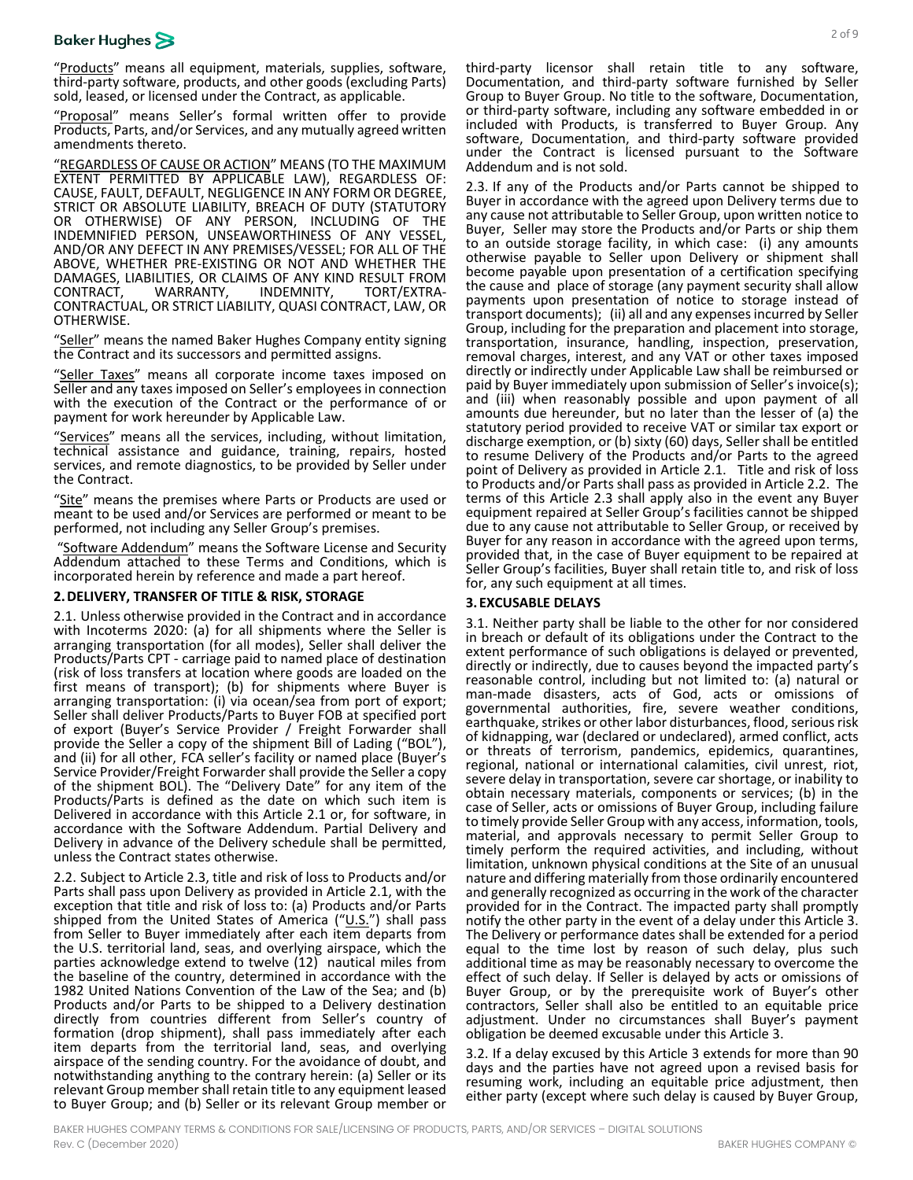# **Baker Hughes**

"Products" means all equipment, materials, supplies, software, third-party software, products, and other goods (excluding Parts) sold, leased, or licensed under the Contract, as applicable.

"Proposal" means Seller's formal written offer to provide Products, Parts, and/or Services, and any mutually agreed written amendments thereto.

"REGARDLESS OF CAUSE OR ACTION" MEANS (TO THE MAXIMUM EXTENT PERMITTED BY APPLICABLE LAW), REGARDLESS OF: CAUSE, FAULT, DEFAULT, NEGLIGENCE IN ANY FORM OR DEGREE, STRICT OR ABSOLUTE LIABILITY, BREACH OF DUTY (STATUTORY OR OTHERWISE) OF ANY PERSON, INCLUDING OF THE INDEMNIFIED PERSON, UNSEAWORTHINESS OF ANY VESSEL, AND/OR ANY DEFECT IN ANY PREMISES/VESSEL; FOR ALL OF THE ABOVE, WHETHER PRE-EXISTING OR NOT AND WHETHER THE DAMAGES, LIABILITIES, OR CLAIMS OF ANY KIND RESULT FROM<br>CONTRACT, WARRANTY, INDEMNITY, TORT/EXTRA-CONTRACT, WARRANTY, INDEMNITY, TORT/EXTRA- CONTRACTUAL, OR STRICT LIABILITY, QUASI CONTRACT, LAW, OR OTHERWISE.

"Seller" means the named Baker Hughes Company entity signing the Contract and its successors and permitted assigns.

"Seller Taxes" means all corporate income taxes imposed on Seller and any taxes imposed on Seller's employees in connection with the execution of the Contract or the performance of or payment for work hereunder by Applicable Law.

"Services" means all the services, including, without limitation, technical assistance and guidance, training, repairs, hosted services, and remote diagnostics, to be provided by Seller under the Contract.

"Site" means the premises where Parts or Products are used or meant to be used and/or Services are performed or meant to be performed, not including any Seller Group's premises.

Software Addendum" means the Software License and Security Addendum attached to these Terms and Conditions, which is incorporated herein by reference and made a part hereof.

#### **2.DELIVERY, TRANSFER OF TITLE & RISK, STORAGE**

<span id="page-1-0"></span>2.1. Unless otherwise provided in the Contract and in accordance with Incoterms 2020: (a) for all shipments where the Seller is arranging transportation (for all modes), Seller shall deliver the Products/Parts CPT - carriage paid to named place of destination (risk of loss transfers at location where goods are loaded on the first means of transport); (b) for shipments where Buyer is arranging transportation: (i) via ocean/sea from port of export; Seller shall deliver Products/Parts to Buyer FOB at specified port of export (Buyer's Service Provider / Freight Forwarder shall provide the Seller a copy of the shipment Bill of Lading ("BOL"), and (ii) for all other, FCA seller's facility or named place (Buyer's Service Provider/Freight Forwarder shall provide the Seller a copy of the shipment BOL). The "Delivery Date" for any item of the Products/Parts is defined as the date on which such item is Delivered in accordance with this Article [2.1](#page-1-0) or, for software, in accordance with the Software Addendum. Partial Delivery and Delivery in advance of the Delivery schedule shall be permitted, unless the Contract states otherwise.

<span id="page-1-2"></span>2.2. Subject to Articl[e 2.3,](#page-1-1) title and risk of loss to Products and/or Parts shall pass upon Delivery as provided in Article [2.1,](#page-1-0) with the exception that title and risk of loss to: (a) Products and/or Parts shipped from the United States of America  $("U.S."")$  shall pass from Seller to Buyer immediately after each item departs from the U.S. territorial land, seas, and overlying airspace, which the parties acknowledge extend to twelve (12) nautical miles from the baseline of the country, determined in accordance with the 1982 United Nations Convention of the Law of the Sea; and (b) Products and/or Parts to be shipped to a Delivery destination directly from countries different from Seller's country of formation (drop shipment), shall pass immediately after each item departs from the territorial land, seas, and overlying airspace of the sending country. For the avoidance of doubt, and notwithstanding anything to the contrary herein: (a) Seller or its relevant Group member shall retain title to any equipment leased to Buyer Group; and (b) Seller or its relevant Group member or third-party licensor shall retain title to any software, Documentation, and third-party software furnished by Seller Group to Buyer Group. No title to the software, Documentation, or third-party software, including any software embedded in or included with Products, is transferred to Buyer Group. Any software, Documentation, and third-party software provided under the Contract is licensed pursuant to the Software Addendum and is not sold.

<span id="page-1-1"></span>2.3. If any of the Products and/or Parts cannot be shipped to Buyer in accordance with the agreed upon Delivery terms due to any cause not attributable to Seller Group, upon written notice to Buyer, Seller may store the Products and/or Parts or ship them to an outside storage facility, in which case: (i) any amounts otherwise payable to Seller upon Delivery or shipment shall become payable upon presentation of a certification specifying the cause and place of storage (any payment security shall allow payments upon presentation of notice to storage instead of transport documents); (ii) all and any expenses incurred by Seller Group, including for the preparation and placement into storage, transportation, insurance, handling, inspection, preservation, removal charges, interest, and any VAT or other taxes imposed directly or indirectly under Applicable Law shall be reimbursed or paid by Buyer immediately upon submission of Seller's invoice(s); and (iii) when reasonably possible and upon payment of all amounts due hereunder, but no later than the lesser of (a) the statutory period provided to receive VAT or similar tax export or discharge exemption, or (b) sixty (60) days, Seller shall be entitled to resume Delivery of the Products and/or Parts to the agreed point of Delivery as provided in Article [2.1.](#page-1-0) Title and risk of loss to Products and/or Parts shall pass as provided in Articl[e 2.2.](#page-1-2) The terms of this Article [2.3](#page-1-1) shall apply also in the event any Buyer equipment repaired at Seller Group's facilities cannot be shipped due to any cause not attributable to Seller Group, or received by Buyer for any reason in accordance with the agreed upon terms, provided that, in the case of Buyer equipment to be repaired at Seller Group's facilities, Buyer shall retain title to, and risk of loss for, any such equipment at all times.

#### <span id="page-1-3"></span>**3. EXCUSABLE DELAYS**

<span id="page-1-4"></span>3.1. Neither party shall be liable to the other for nor considered in breach or default of its obligations under the Contract to the extent performance of such obligations is delayed or prevented, directly or indirectly, due to causes beyond the impacted party's reasonable control, including but not limited to: (a) natural or man-made disasters, acts of God, acts or omissions of governmental authorities, fire, severe weather conditions, earthquake, strikes or other labor disturbances, flood, serious risk of kidnapping, war (declared or undeclared), armed conflict, acts or threats of terrorism, pandemics, epidemics, quarantines, regional, national or international calamities, civil unrest, riot, severe delay in transportation, severe car shortage, or inability to obtain necessary materials, components or services; (b) in the case of Seller, acts or omissions of Buyer Group, including failure to timely provide Seller Group with any access, information, tools, material, and approvals necessary to permit Seller Group to timely perform the required activities, and including, without limitation, unknown physical conditions at the Site of an unusual nature and differing materially from those ordinarily encountered and generally recognized as occurring in the work of the character provided for in the Contract. The impacted party shall promptly notify the other party in the event of a delay under this Article [3.](#page-1-3) The Delivery or performance dates shall be extended for a peri[od](#page-1-3)  equal to the time lost by reason of such delay, plus such additional time as may be reasonably necessary to overcome the effect of such delay. If Seller is delayed by acts or omissions of Buyer Group, or by the prerequisite work of Buyer's other contractors, Seller shall also be entitled to an equitable price adjustment. Under no circumstances shall Buyer's payment obligation be deemed excusable under this Article [3.](#page-1-3)

3.2. If a delay excused by this Article 3 extends for more than 90 days and the parties have not agreed upon a revised basis for resuming work, including an equitable price adjustment, then either party (except where such delay is caused by Buyer Group,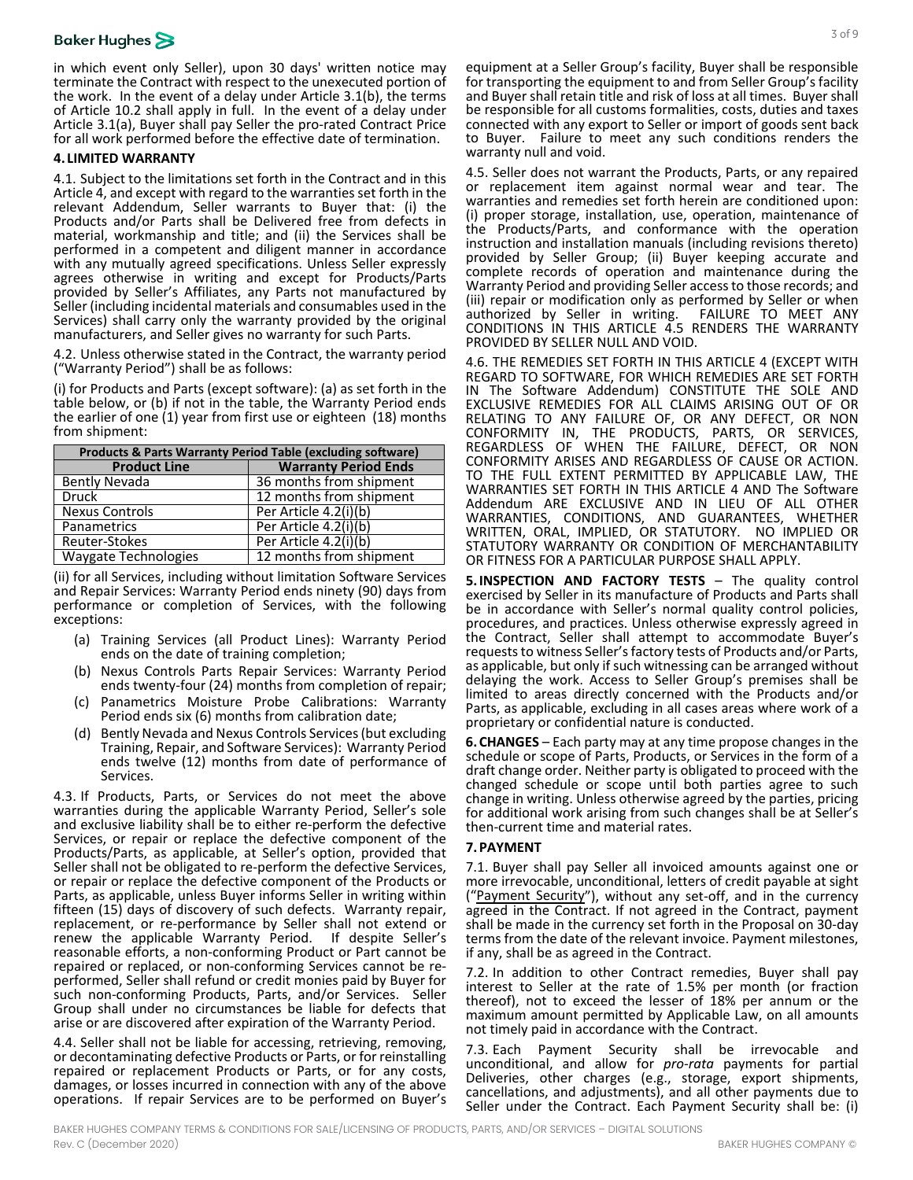in which event only Seller), upon 30 days' written notice may terminate the Contract with respect to the unexecuted portion of the work. In the event of a delay under Articl[e 3.1\(](#page-1-4)b), the terms of Article [10.2](#page-4-0) shall apply in full. In the event of a delay under Article [3.1\(](#page-1-4)a), Buyer shall pay Seller the pro-rated Contract Price for all work performed before the effective date of termination.

#### <span id="page-2-0"></span>**4. LIMITED WARRANTY**

4.1. Subject to the limitations set forth in the Contract and in this Articl[e 4,](#page-2-0) and except with regard to the warranties set forth in the relevant Addendum, Seller warrants to Buyer that: (i) the Products and/or Parts shall be Delivered free from defects in material, workmanship and title; and (ii) the Services shall be performed in a competent and diligent manner in accordance with any mutually agreed specifications. Unless Seller expressly agrees otherwise in writing and except for Products/Parts provided by Seller's Affiliates, any Parts not manufactured by Seller (including incidental materials and consumables used in the Services) shall carry only the warranty provided by the original manufacturers, and Seller gives no warranty for such Parts.

<span id="page-2-1"></span>4.2. Unless otherwise stated in the Contract, the warranty period ("Warranty Period") shall be as follows:

(i) for Products and Parts (except software): (a) as set forth in the table below, or (b) if not in the table, the Warranty Period ends the earlier of one (1) year from first use or eighteen (18) months from shipment:

| <b>Products &amp; Parts Warranty Period Table (excluding software)</b> |                             |
|------------------------------------------------------------------------|-----------------------------|
| <b>Product Line</b>                                                    | <b>Warranty Period Ends</b> |
| Bently Nevada                                                          | 36 months from shipment     |
| <b>Druck</b>                                                           | 12 months from shipment     |
| <b>Nexus Controls</b>                                                  | Per Article 4.2(i)(b)       |
| <b>Panametrics</b>                                                     | Per Article 4.2(i)(b)       |
| Reuter-Stokes                                                          | Per Article 4.2(i)(b)       |
| <b>Waygate Technologies</b>                                            | 12 months from shipment     |

(ii) for all Services, including without limitation Software Services and Repair Services: Warranty Period ends ninety (90) days from performance or completion of Services, with the following exceptions:

- (a) Training Services (all Product Lines): Warranty Period ends on the date of training completion;
- (b) Nexus Controls Parts Repair Services: Warranty Period ends twenty-four (24) months from completion of repair;
- (c) Panametrics Moisture Probe Calibrations: Warranty Period ends six (6) months from calibration date;
- (d) Bently Nevada and Nexus Controls Services (but excluding Training, Repair, and Software Services): Warranty Period ends twelve (12) months from date of performance of **Services**

4.3. If Products, Parts, or Services do not meet the above warranties during the applicable Warranty Period, Seller's sole and exclusive liability shall be to either re-perform the defective Services, or repair or replace the defective component of the Products/Parts, as applicable, at Seller's option, provided that Seller shall not be obligated to re-perform the defective Services, or repair or replace the defective component of the Products or Parts, as applicable, unless Buyer informs Seller in writing within fifteen (15) days of discovery of such defects. Warranty repair, replacement, or re-performance by Seller shall not extend or renew the applicable Warranty Period. If despite Seller's reasonable efforts, a non-conforming Product or Part cannot be re-<br>repaired or replaced, or non-conforming Services cannot be reperformed, Seller shall refund or credit monies paid by Buyer for such non-conforming Products, Parts, and/or Services. Seller Group shall under no circumstances be liable for defects that arise or are discovered after expiration of the Warranty Period.

4.4. Seller shall not be liable for accessing, retrieving, removing, or decontaminating defective Products or Parts, or for reinstalling repaired or replacement Products or Parts, or for any costs, damages, or losses incurred in connection with any of the above operations. If repair Services are to be performed on Buyer's equipment at a Seller Group's facility, Buyer shall be responsible for transporting the equipment to and from Seller Group's facility and Buyer shall retain title and risk of loss at all times. Buyer shall be responsible for all customs formalities, costs, duties and taxes connected with any export to Seller or import of goods sent back to Buyer. Failure to meet any such conditions renders the warranty null and void.

<span id="page-2-2"></span>4.5. Seller does not warrant the Products, Parts, or any repaired or replacement item against normal wear and tear. The warranties and remedies set forth herein are conditioned upon: (i) proper storage, installation, use, operation, maintenance of the Products/Parts, and conformance with the operation instruction and installation manuals (including revisions thereto) provided by Seller Group; (ii) Buyer keeping accurate and complete records of operation and maintenance during the Warranty Period and providing Seller access to those records; and (iii) repair or modification only as performed by Seller or when authorized by Seller in writing. FAILURE TO MEET ANY CONDITIONS IN THIS ARTICLE [4.5](#page-2-2) RENDERS THE WARRANTY PROVIDED BY SELLER NULL AND VOID.

4.6. THE REMEDIES SET FORTH IN THIS ARTICLE [4](#page-2-0) (EXCEPT WITH REGARD TO SOFTWARE, FOR WHICH REMEDIES ARE SET FORTH IN The Software Addendum) CONSTITUTE THE SOLE AND EXCLUSIVE REMEDIES FOR ALL CLAIMS ARISING OUT OF OR RELATING TO ANY FAILURE OF, OR ANY DEFECT, OR NON CONFORMITY IN, THE PRODUCTS, PARTS, OR SERVICES, REGARDLESS OF WHEN THE FAILURE, DEFECT, OR NON CONFORMITY ARISES AND REGARDLESS OF CAUSE OR ACTION. TO THE FULL EXTENT PERMITTED BY APPLICABLE LAW, THE WARRANTIES SET FORTH IN THIS ARTICLE [4](#page-2-0) AND The Software Addendum ARE EXCLUSIVE AND IN LIEU OF ALL OTHER WARRANTIES, CONDITIONS, AND GUARANTEES, WHETHER WRITTEN, ORAL, IMPLIED, OR STATUTORY. NO IMPLIED OR STATUTORY WARRANTY OR CONDITION OF MERCHANTABILITY OR FITNESS FOR A PARTICULAR PURPOSE SHALL APPLY.

**5.INSPECTION AND FACTORY TESTS** – The quality control exercised by Seller in its manufacture of Products and Parts shall be in accordance with Seller's normal quality control policies, procedures, and practices. Unless otherwise expressly agreed in the Contract, Seller shall attempt to accommodate Buyer's requests to witness Seller's factory tests of Products and/or Parts, as applicable, but only if such witnessing can be arranged without delaying the work. Access to Seller Group's premises shall be limited to areas directly concerned with the Products and/or Parts, as applicable, excluding in all cases areas where work of a proprietary or confidential nature is conducted.

**6.CHANGES** – Each party may at any time propose changes in the schedule or scope of Parts, Products, or Services in the form of a draft change order. Neither party is obligated to proceed with the changed schedule or scope until both parties agree to such change in writing. Unless otherwise agreed by the parties, pricing for additional work arising from such changes shall be at Seller's then-current time and material rates.

### **7.PAYMENT**

7.1. Buyer shall pay Seller all invoiced amounts against one or more irrevocable, unconditional, letters of credit payable at sight ("Payment Security"), without any set-off, and in the currency agreed in the Contract. If not agreed in the Contract, payment shall be made in the currency set forth in the Proposal on 30-day terms from the date of the relevant invoice. Payment milestones, if any, shall be as agreed in the Contract.

7.2. In addition to other Contract remedies, Buyer shall pay interest to Seller at the rate of 1.5% per month (or fraction thereof), not to exceed the lesser of 18% per annum or the maximum amount permitted by Applicable Law, on all amounts not timely paid in accordance with the Contract.

7.3. Each Payment Security shall be irrevocable and unconditional, and allow for *pro-rata* payments for partial Deliveries, other charges (e.g., storage, export shipments, cancellations, and adjustments), and all other payments due to Seller under the Contract. Each Payment Security shall be: (i)

3 of 9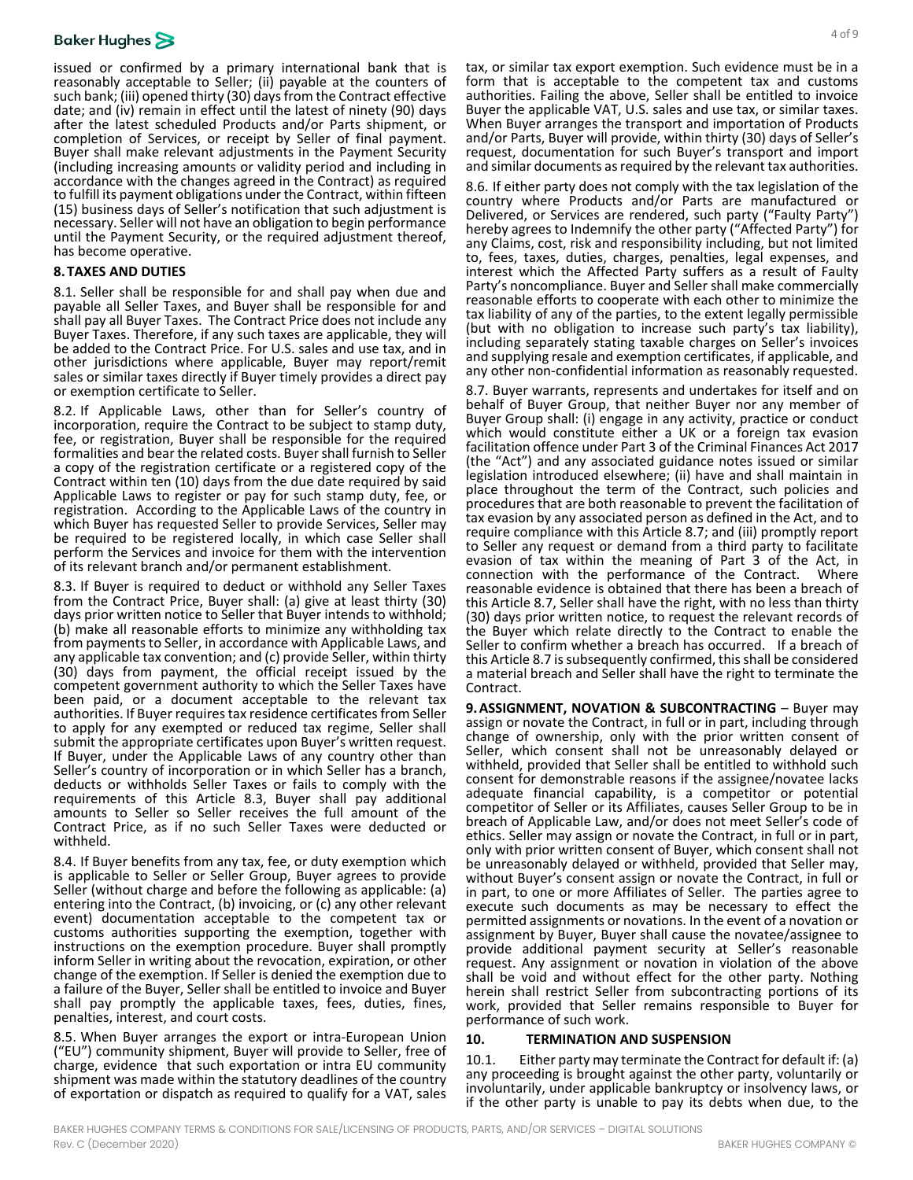# **Baker Hughes**

issued or confirmed by a primary international bank that is reasonably acceptable to Seller; (ii) payable at the counters of such bank; (iii) opened thirty (30) days from the Contract effective date; and (iv) remain in effect until the latest of ninety (90) days after the latest scheduled Products and/or Parts shipment, or completion of Services, or receipt by Seller of final payment. Buyer shall make relevant adjustments in the Payment Security (including increasing amounts or validity period and including in accordance with the changes agreed in the Contract) as required to fulfill its payment obligations under the Contract, within fifteen (15) business days of Seller's notification that such adjustment is necessary. Seller will not have an obligation to begin performance until the Payment Security, or the required adjustment thereof, has become operative.

## **8.TAXES AND DUTIES**

8.1. Seller shall be responsible for and shall pay when due and payable all Seller Taxes, and Buyer shall be responsible for and shall pay all Buyer Taxes. The Contract Price does not include any Buyer Taxes. Therefore, if any such taxes are applicable, they will be added to the Contract Price. For U.S. sales and use tax, and in other jurisdictions where applicable, Buyer may report/remit sales or similar taxes directly if Buyer timely provides a direct pay or exemption certificate to Seller.

8.2. If Applicable Laws, other than for Seller's country of incorporation, require the Contract to be subject to stamp duty, fee, or registration, Buyer shall be responsible for the required formalities and bear the related costs. Buyer shall furnish to Seller a copy of the registration certificate or a registered copy of the Contract within ten (10) days from the due date required by said Applicable Laws to register or pay for such stamp duty, fee, or registration. According to the Applicable Laws of the country in which Buyer has requested Seller to provide Services, Seller may be required to be registered locally, in which case Seller shall perform the Services and invoice for them with the intervention of its relevant branch and/or permanent establishment.

<span id="page-3-0"></span>8.3. If Buyer is required to deduct or withhold any Seller Taxes from the Contract Price, Buyer shall: (a) give at least thirty (30) days prior written notice to Seller that Buyer intends to withhold; (b) make all reasonable efforts to minimize any withholding tax from payments to Seller, in accordance with Applicable Laws, and any applicable tax convention; and (c) provide Seller, within thirty (30) days from payment, the official receipt issued by the competent government authority to which the Seller Taxes have been paid, or a document acceptable to the relevant tax authorities. If Buyer requires tax residence certificates from Seller to apply for any exempted or reduced tax regime, Seller shall submit the appropriate certificates upon Buyer's written request.<br>If Buyer, under the Applicable Laws of any country other than<br>Seller's country of incorporation or in which Seller has a branch, deducts or withholds Seller Taxes or fails to comply with the requirements of this Article [8.3,](#page-3-0) Buyer shall pay additional amounts to Seller so Seller receives the full amount of the Contract Price, as if no such Seller Taxes were deducted or withheld.

8.4. If Buyer benefits from any tax, fee, or duty exemption which is applicable to Seller or Seller Group, Buyer agrees to provide Seller (without charge and before the following as applicable: (a) entering into the Contract, (b) invoicing, or (c) any other relevant event) documentation acceptable to the competent tax or customs authorities supporting the exemption, together with instructions on the exemption procedure. Buyer shall promptly inform Seller in writing about the revocation, expiration, or other change of the exemption. If Seller is denied the exemption due to a failure of the Buyer, Seller shall be entitled to invoice and Buyer shall pay promptly the applicable taxes, fees, duties, fines, penalties, interest, and court costs.

8.5. When Buyer arranges the export or intra-European Union ("EU") community shipment, Buyer will provide to Seller, free of charge, evidence that such exportation or intra EU community shipment was made within the statutory deadlines of the country of exportation or dispatch as required to qualify for a VAT, sales

tax, or similar tax export exemption. Such evidence must be in a form that is acceptable to the competent tax and customs authorities. Failing the above, Seller shall be entitled to invoice Buyer the applicable VAT, U.S. sales and use tax, or similar taxes. When Buyer arranges the transport and importation of Products and/or Parts, Buyer will provide, within thirty (30) days of Seller's request, documentation for such Buyer's transport and import and similar documents as required by the relevant tax authorities.

8.6. If either party does not comply with the tax legislation of the country where Products and/or Parts are manufactured or Delivered, or Services are rendered, such party ("Faulty Party") hereby agrees to Indemnify the other party ("Affected Party") for any Claims, cost, risk and responsibility including, but not limited to, fees, taxes, duties, charges, penalties, legal expenses, and interest which the Affected Party suffers as a result of Faulty Party's noncompliance. Buyer and Seller shall make commercially reasonable efforts to cooperate with each other to minimize the tax liability of any of the parties, to the extent legally permissible (but with no obligation to increase such party's tax liability), including separately stating taxable charges on Seller's invoices and supplying resale and exemption certificates, if applicable, and any other non-confidential information as reasonably requested.

<span id="page-3-1"></span>8.7. Buyer warrants, represents and undertakes for itself and on behalf of Buyer Group, that neither Buyer nor any member of Buyer Group shall: (i) engage in any activity, practice or conduct which would constitute either a UK or a foreign tax evasion facilitation offence under Part 3 of the Criminal Finances Act 2017 (the "Act") and any associated guidance notes issued or similar legislation introduced elsewhere; (ii) have and shall maintain in place throughout the term of the Contract, such policies and procedures that are both reasonable to prevent the facilitation of tax evasion by any associated person as defined in the Act, and to require compliance with this Article [8.7;](#page-3-1) and (iii) promptly report to Seller any request or demand from a third party to facilitate evasion of tax within the meaning of Part 3 of the Act, in connection with the performance of the Contract. Where reasonable evidence is obtained that there has been a breach of this Article [8.7,](#page-3-1) Seller shall have the right, with no less than thirty (30) days prior written notice, to request the relevant records of the Buyer which relate directly to the Contract to enable the Seller to confirm whether a breach has occurred. If a breach of this Articl[e 8.7](#page-3-1) is subsequently confirmed, this shall be considered a material breach and Seller shall have the right to terminate the Contract.

**9.ASSIGNMENT, NOVATION & SUBCONTRACTING** – Buyer may assign or novate the Contract, in full or in part, including through change of ownership, only with the prior written consent of Seller, which consent shall not be unreasonably delayed or withheld, provided that Seller shall be entitled to withhold such consent for demonstrable reasons if the assignee/novatee lacks adequate financial capability, is a competitor or potential competitor of Seller or its Affiliates, causes Seller Group to be in breach of Applicable Law, and/or does not meet Seller's code of ethics. Seller may assign or novate the Contract, in full or in part, only with prior written consent of Buyer, which consent shall not be unreasonably delayed or withheld, provided that Seller may, without Buyer's consent assign or novate the Contract, in full or in part, to one or more Affiliates of Seller. The parties agree to execute such documents as may be necessary to effect the permitted assignments or novations. In the event of a novation or assignment by Buyer, Buyer shall cause the novatee/assignee to provide additional payment security at Seller's reasonable request. Any assignment or novation in violation of the above shall be void and without effect for the other party. Nothing herein shall restrict Seller from subcontracting portions of its work, provided that Seller remains responsible to Buyer for performance of such work.

#### **10. TERMINATION AND SUSPENSION**

<span id="page-3-2"></span>10.1. Either party may terminate the Contract for default if: (a) any proceeding is brought against the other party, voluntarily or involuntarily, under applicable bankruptcy or insolvency laws, or if the other party is unable to pay its debts when due, to the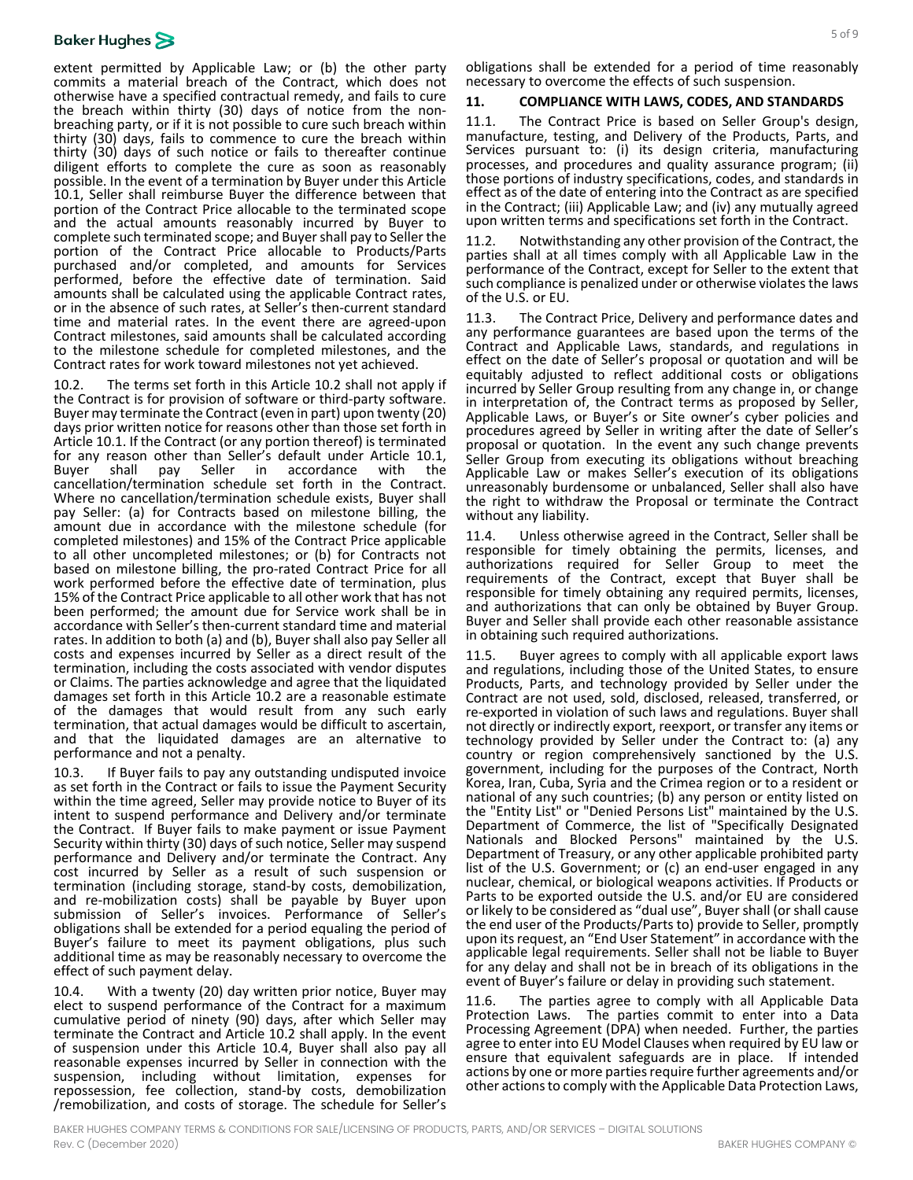## **Baker Hughes**

extent permitted by Applicable Law; or (b) the other party commits a material breach of the Contract, which does not otherwise have a specified contractual remedy, and fails to cure the breach within thirty (30) days of notice from the non- breaching party, or if it is not possible to cure such breach within thirty (30) days, fails to commence to cure the breach within thirty (30) days of such notice or fails to thereafter continue diligent efforts to complete the cure as soon as reasonably possible. In the event of a termination by Buyer under this Article [10.1,](#page-3-2) Seller shall reimburse Buyer the difference between that portion of the Contract Price allocable to the terminated scope and the actual amounts reasonably incurred by Buyer to complete such terminated scope; and Buyer shall pay to Seller the portion of the Contract Price allocable to Products/Parts purchased and/or completed, and amounts for Services performed, before the effective date of termination. Said amounts shall be calculated using the applicable Contract rates, or in the absence of such rates, at Seller's then-current standard time and material rates. In the event there are agreed-upon Contract milestones, said amounts shall be calculated according to the milestone schedule for completed milestones, and the Contract rates for work toward milestones not yet achieved.

<span id="page-4-0"></span>10.2. The terms set forth in this Article [10.2](#page-4-0) shall not apply if the Contract is for provision of software or third-party software. Buyer may terminate the Contract (even in part) upon twenty (20) days prior written notice for reasons other than those set forth in Articl[e 10.1.](#page-3-2) If the Contract (or any portion thereof) is terminated for any reason other than Seller's default under Article [10.1,](#page-3-2) Buyer shall pay Seller in accordance with [the](#page-3-2) cancellation/termination schedule set forth in the Contract. Where no cancellation/termination schedule exists, Buyer shall pay Seller: (a) for Contracts based on milestone billing, the amount due in accordance with the milestone schedule (for completed milestones) and 15% of the Contract Price applicable to all other uncompleted milestones; or (b) for Contracts not based on milestone billing, the pro-rated Contract Price for all work performed before the effective date of termination, plus 15% of the Contract Price applicable to all other work that has not been performed; the amount due for Service work shall be in accordance with Seller's then-current standard time and material rates. In addition to both (a) and (b), Buyer shall also pay Seller all costs and expenses incurred by Seller as a direct result of the termination, including the costs associated with vendor disputes or Claims. The parties acknowledge and agree that the liquidated damages set forth in this Article [10.2](#page-4-0) are a reasonable estimate of the damages that would result from any such early termination, that actual damages would be difficult to ascertain, and that the liquidated damages are an alternative to performance and not a penalty.

10.3. If Buyer fails to pay any outstanding undisputed invoice as set forth in the Contract or fails to issue the Payment Security within the time agreed, Seller may provide notice to Buyer of its intent to suspend performance and Delivery and/or terminate the Contract. If Buyer fails to make payment or issue Payment Security within thirty (30) days of such notice, Seller may suspend performance and Delivery and/or terminate the Contract. Any cost incurred by Seller as a result of such suspension or termination (including storage, stand-by costs, demobilization, and re-mobilization costs) shall be payable by Buyer upon submission of Seller's invoices. Performance of Seller's obligations shall be extended for a period equaling the period of Buyer's failure to meet its payment obligations, plus such additional time as may be reasonably necessary to overcome the effect of such payment delay.

<span id="page-4-1"></span>10.4. With a twenty (20) day written prior notice, Buyer may elect to suspend performance of the Contract for a maximum cumulative period of ninety (90) days, after which Seller may terminate the Contract and Article [10.2](#page-4-0) shall apply. In the event of suspension under this Article [10.4,](#page-4-1) Buyer shall also pay all reasonable expenses incurred by Seller in connection with the suspension, including without limitation, expenses for repossession, fee collection, stand-by costs, demobilization /remobilization, and costs of storage. The schedule for Seller's

obligations shall be extended for a period of time reasonably necessary to overcome the effects of such suspension.

### **11. COMPLIANCE WITH LAWS, CODES, AND STANDARDS**

11.1. The Contract Price is based on Seller Group's design, manufacture, testing, and Delivery of the Products, Parts, and Services pursuant to: (i) its design criteria, manufacturing processes, and procedures and quality assurance program; (ii) those portions of industry specifications, codes, and standards in effect as of the date of entering into the Contract as are specified in the Contract; (iii) Applicable Law; and (iv) any mutually agreed upon written terms and specifications set forth in the Contract.

<span id="page-4-2"></span>Notwithstanding any other provision of the Contract, the parties shall at all times comply with all Applicable Law in the performance of the Contract, except for Seller to the extent that such compliance is penalized under or otherwise violates the laws of the U.S. or EU.

The Contract Price, Delivery and performance dates and any performance guarantees are based upon the terms of the Contract and Applicable Laws, standards, and regulations in effect on the date of Seller's proposal or quotation and will be equitably adjusted to reflect additional costs or obligations incurred by Seller Group resulting from any change in, or change in interpretation of, the Contract terms as proposed by Seller, Applicable Laws, or Buyer's or Site owner's cyber policies and procedures agreed by Seller in writing after the date of Seller's proposal or quotation. In the event any such change prevents Seller Group from executing its obligations without breaching Applicable Law or makes Seller's execution of its obligations unreasonably burdensome or unbalanced, Seller shall also have the right to withdraw the Proposal or terminate the Contract without any liability.

11.4. Unless otherwise agreed in the Contract, Seller shall be responsible for timely obtaining the permits, licenses, and authorizations required for Seller Group to meet the requirements of the Contract, except that Buyer shall be responsible for timely obtaining any required permits, licenses, and authorizations that can only be obtained by Buyer Group. Buyer and Seller shall provide each other reasonable assistance in obtaining such required authorizations.

11.5. Buyer agrees to comply with all applicable export laws and regulations, including those of the United States, to ensure Products, Parts, and technology provided by Seller under the Contract are not used, sold, disclosed, released, transferred, or re-exported in violation of such laws and regulations. Buyer shall not directly or indirectly export, reexport, or transfer any items or technology provided by Seller under the Contract to: (a) any country or region comprehensively sanctioned by the U.S. government, including for the purposes of the Contract, North Korea, Iran, Cuba, Syria and the Crimea region or to a resident or national of any such countries; (b) any person or entity listed on the "Entity List" or "Denied Persons List" maintained by the U.S. Department of Commerce, the list of "Specifically Designated Nationals and Blocked Persons" maintained by the U.S. Department of Treasury, or any other applicable prohibited party list of the U.S. Government; or (c) an end-user engaged in any nuclear, chemical, or biological weapons activities. If Products or Parts to be exported outside the U.S. and/or EU are considered or likely to be considered as "dual use", Buyer shall (or shall cause the end user of the Products/Parts to) provide to Seller, promptly upon its request, an "End User Statement" in accordance with the applicable legal requirements. Seller shall not be liable to Buyer for any delay and shall not be in breach of its obligations in the event of Buyer's failure or delay in providing such statement.

11.6. The parties agree to comply with all Applicable Data Protection Laws. The parties commit to enter into a Data Processing Agreement (DPA) when needed. Further, the parties agree to enter into EU Model Clauses when required by EU law or ensure that equivalent safeguards are in place. If intended actions by one or more parties require further agreements and/or other actions to comply with the Applicable Data Protection Laws,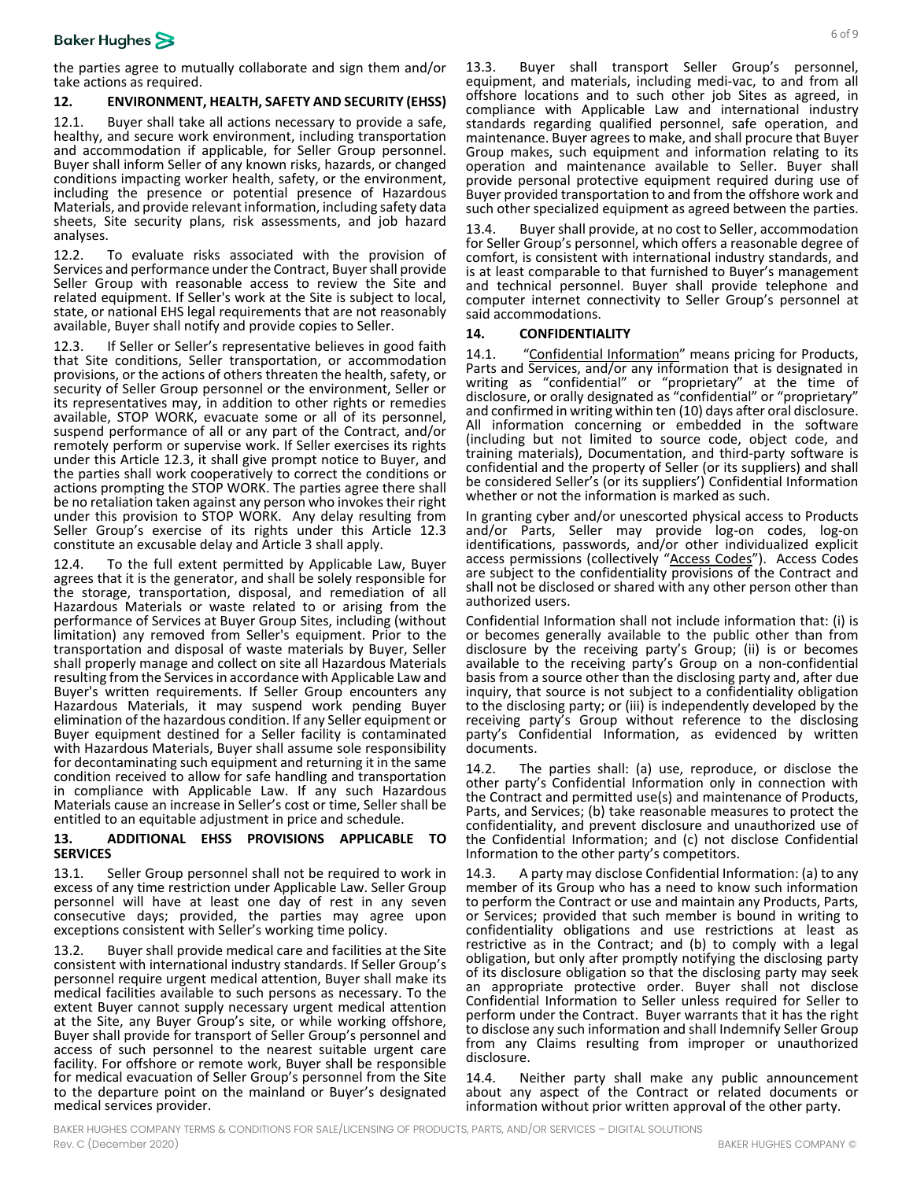the parties agree to mutually collaborate and sign them and/or take actions as required.

## **12. ENVIRONMENT, HEALTH, SAFETY AND SECURITY (EHSS)**

12.1. Buyer shall take all actions necessary to provide a safe, healthy, and secure work environment, including transportation and accommodation if applicable, for Seller Group personnel. Buyer shall inform Seller of any known risks, hazards, or changed conditions impacting worker health, safety, or the environment, including the presence or potential presence of Hazardous Materials, and provide relevant information, including safety data sheets, Site security plans, risk assessments, and job hazard analyses.

12.2. To evaluate risks associated with the provision of Services and performance under the Contract, Buyer shall provide Seller Group with reasonable access to review the Site and related equipment. If Seller's work at the Site is subject to local, state, or national EHS legal requirements that are not reasonably available, Buyer shall notify and provide copies to Seller.

<span id="page-5-0"></span>12.3. If Seller or Seller's representative believes in good faith that Site conditions, Seller transportation, or accommodation provisions, or the actions of others threaten the health, safety, or security of Seller Group personnel or the environment, Seller or its representatives may, in addition to other rights or remedies available, STOP WORK, evacuate some or all of its personnel, suspend performance of all or any part of the Contract, and/or remotely perform or supervise work. If Seller exercises its rights under this Article [12.3,](#page-5-0) it shall give prompt notice to Buyer, and the parties shall work cooperatively to correct the conditions or actions prompting the STOP WORK. The parties agree there shall be no retaliation taken against any person who invokes their right under this provision to STOP WORK. Any delay resulting from Seller Group's exercise of its rights under this Article [12.3](#page-5-0) constitute an excusable delay and Articl[e 3](#page-1-3) shall apply.

12.4. To the full extent permitted by Applicable Law, Buyer agrees that it is the generator, and shall be solely responsible for the storage, transportation, disposal, and remediation of all Hazardous Materials or waste related to or arising from the performance of Services at Buyer Group Sites, including (without limitation) any removed from Seller's equipment. Prior to the transportation and disposal of waste materials by Buyer, Seller shall properly manage and collect on site all Hazardous Materials resulting from the Services in accordance with Applicable Law and Buyer's written requirements. If Seller Group encounters any Hazardous Materials, it may suspend work pending Buyer elimination of the hazardous condition. If any Seller equipment or Buyer equipment destined for a Seller facility is contaminated with Hazardous Materials, Buyer shall assume sole responsibility for decontaminating such equipment and returning it in the same condition received to allow for safe handling and transportation in compliance with Applicable Law. If any such Hazardous Materials cause an increase in Seller's cost or time, Seller shall be entitled to an equitable adjustment in price and schedule.

#### **13. ADDITIONAL EHSS PROVISIONS APPLICABLE TO SERVICES**

13.1. Seller Group personnel shall not be required to work in excess of any time restriction under Applicable Law. Seller Group personnel will have at least one day of rest in any seven consecutive days; provided, the parties may agree upon exceptions consistent with Seller's working time policy.

13.2. Buyer shall provide medical care and facilities at the Site consistent with international industry standards. If Seller Group's personnel require urgent medical attention, Buyer shall make its medical facilities available to such persons as necessary. To the extent Buyer cannot supply necessary urgent medical attention at the Site, any Buyer Group's site, or while working offshore, Buyer shall provide for transport of Seller Group's personnel and access of such personnel to the nearest suitable urgent care facility. For offshore or remote work, Buyer shall be responsible for medical evacuation of Seller Group's personnel from the Site to the departure point on the mainland or Buyer's designated medical services provider.

13.3. Buyer shall transport Seller Group's personnel, equipment, and materials, including medi-vac, to and from all offshore locations and to such other job Sites as agreed, in compliance with Applicable Law and international industry standards regarding qualified personnel, safe operation, and maintenance. Buyer agrees to make, and shall procure that Buyer Group makes, such equipment and information relating to its operation and maintenance available to Seller. Buyer shall provide personal protective equipment required during use of Buyer provided transportation to and from the offshore work and such other specialized equipment as agreed between the parties.

13.4. Buyer shall provide, at no cost to Seller, accommodation for Seller Group's personnel, which offers a reasonable degree of comfort, is consistent with international industry standards, and is at least comparable to that furnished to Buyer's management and technical personnel. Buyer shall provide telephone and computer internet connectivity to Seller Group's personnel at said accommodations.

### <span id="page-5-1"></span>**14. CONFIDENTIALITY**

14.1. "Confidential Information" means pricing for Products, Parts and Services, and/or any information that is designated in writing as "confidential" or "proprietary" at the time of disclosure, or orally designated as "confidential" or "proprietary" and confirmed in writing within ten (10) days after oral disclosure. All information concerning or embedded in the software (including but not limited to source code, object code, and training materials), Documentation, and third-party software is confidential and the property of Seller (or its suppliers) and shall be considered Seller's (or its suppliers') Confidential Information whether or not the information is marked as such.

In granting cyber and/or unescorted physical access to Products and/or Parts, Seller may provide log-on codes, log-on identifications, passwords, and/or other individualized explicit access permissions (collectively "Access Codes"). Access Codes are subject to the confidentiality provisions of the Contract and shall not be disclosed or shared with any other person other than authorized users.

Confidential Information shall not include information that: (i) is or becomes generally available to the public other than from disclosure by the receiving party's Group; (ii) is or becomes available to the receiving party's Group on a non-confidential basis from a source other than the disclosing party and, after due inquiry, that source is not subject to a confidentiality obligation to the disclosing party; or (iii) is independently developed by the receiving party's Group without reference to the disclosing party's Confidential Information, as evidenced by written documents.

14.2. The parties shall: (a) use, reproduce, or disclose the other party's Confidential Information only in connection with the Contract and permitted use(s) and maintenance of Products, Parts, and Services; (b) take reasonable measures to protect the confidentiality, and prevent disclosure and unauthorized use of the Confidential Information; and (c) not disclose Confidential Information to the other party's competitors.

14.3. A party may disclose Confidential Information: (a) to any member of its Group who has a need to know such information to perform the Contract or use and maintain any Products, Parts, or Services; provided that such member is bound in writing to confidentiality obligations and use restrictions at least as restrictive as in the Contract; and (b) to comply with a legal obligation, but only after promptly notifying the disclosing party of its disclosure obligation so that the disclosing party may seek an appropriate protective order. Buyer shall not disclose Confidential Information to Seller unless required for Seller to perform under the Contract. Buyer warrants that it has the right to disclose any such information and shall Indemnify Seller Group from any Claims resulting from improper or unauthorized disclosure.

14.4. Neither party shall make any public announcement about any aspect of the Contract or related documents or information without prior written approval of the other party.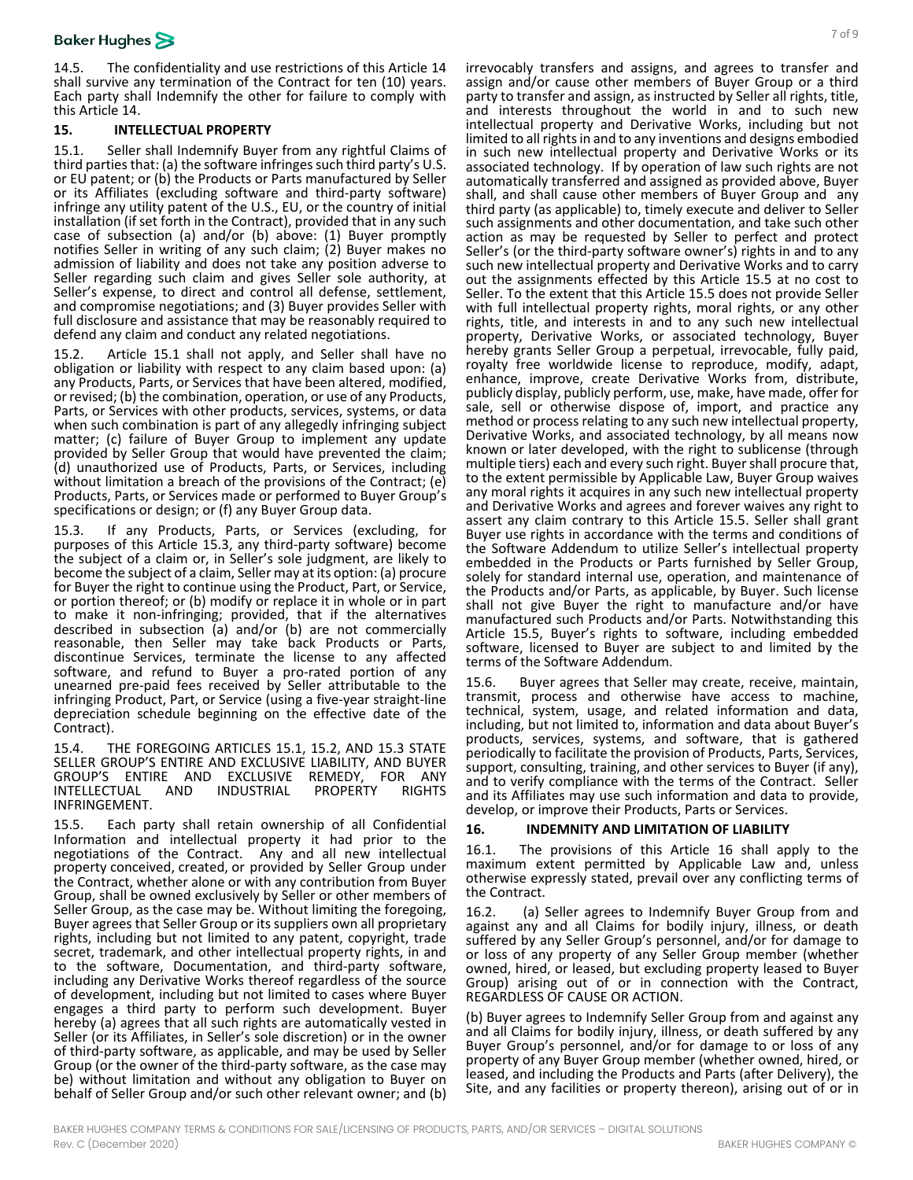14.5. The confidentiality and use restrictions of this Article [14](#page-5-1) shall survive any termination of the Contract for ten (10) years. Each party shall Indemnify the other for failure to comply with this Articl[e 14.](#page-5-1)

## <span id="page-6-5"></span>**15. INTELLECTUAL PROPERTY**

<span id="page-6-0"></span>15.1. Seller shall Indemnify Buyer from any rightful Claims of third parties that: (a) the software infringes such third party's U.S. or EU patent; or (b) the Products or Parts manufactured by Seller or its Affiliates (excluding software and third-party software) infringe any utility patent of the U.S., EU, or the country of initial installation (if set forth in the Contract), provided that in any such case of subsection (a) and/or (b) above: (1) Buyer promptly notifies Seller in writing of any such claim; (2) Buyer makes no admission of liability and does not take any position adverse to Seller regarding such claim and gives Seller sole authority, at Seller's expense, to direct and control all defense, settlement, and compromise negotiations; and (3) Buyer provides Seller with full disclosure and assistance that may be reasonably required to defend any claim and conduct any related negotiations.

<span id="page-6-2"></span>15.2. Article [15.1](#page-6-0) shall not apply, and Seller shall have no obligation or liability with respect to any claim based upon: (a) any Products, Parts, or Services that have been altered, modified, or revised; (b) the combination, operation, or use of any Products, Parts, or Services with other products, services, systems, or data when such combination is part of any allegedly infringing subject matter; (c) failure of Buyer Group to implement any update provided by Seller Group that would have prevented the claim; (d) unauthorized use of Products, Parts, or Services, including without limitation a breach of the provisions of the Contract; (e) Products, Parts, or Services made or performed to Buyer Group's specifications or design; or (f) any Buyer Group data.

<span id="page-6-1"></span>15.3. If any Products, Parts, or Services (excluding, for purposes of this Article [15.3,](#page-6-1) any third-party software) become the subject of a claim or, in Seller's sole judgment, are likely to become the subject of a claim, Seller may at its option: (a) procure for Buyer the right to continue using the Product, Part, or Service, or portion thereof; or (b) modify or replace it in whole or in part to make it non-infringing; provided, that if the alternatives described in subsection (a) and/or (b) are not commercially reasonable, then Seller may take back Products or Parts, discontinue Services, terminate the license to any affected software, and refund to Buyer a pro-rated portion of any unearned pre-paid fees received by Seller attributable to the infringing Product, Part, or Service (using a five-year straight-line depreciation schedule beginning on the effective date of the Contract).

15.4. THE FOREGOING ARTICLES [15.1,](#page-6-0) [15.2,](#page-6-2) AND [15.3](#page-6-1) STATE SELLER GROUP'S ENTIRE AND EXCLUSIVE LIABILITY, AND BUYER<br>GROUP'S ENTIRE AND EXCLUSIVE REMEDY, FOR ANY GROUP'S ENTIRE AND EXCLUSIVE REMEDY, FOR ANY INTELLECTUAL AND INFRINGEMENT.

<span id="page-6-3"></span>15.5. Each party shall retain ownership of all Confidential Information and intellectual property it had prior to the negotiations of the Contract. Any and all new intellectual property conceived, created, or provided by Seller Group under the Contract, whether alone or with any contribution from Buyer Group, shall be owned exclusively by Seller or other members of Seller Group, as the case may be. Without limiting the foregoing, Buyer agrees that Seller Group or its suppliers own all proprietary rights, including but not limited to any patent, copyright, trade secret, trademark, and other intellectual property rights, in and to the software, Documentation, and third-party software, including any Derivative Works thereof regardless of the source of development, including but not limited to cases where Buyer engages a third party to perform such development. Buyer hereby (a) agrees that all such rights are automatically vested in Seller (or its Affiliates, in Seller's sole discretion) or in the owner of third-party software, as applicable, and may be used by Seller Group (or the owner of the third-party software, as the case may be) without limitation and without any obligation to Buyer on behalf of Seller Group and/or such other relevant owner; and (b)

irrevocably transfers and assigns, and agrees to transfer and assign and/or cause other members of Buyer Group or a third party to transfer and assign, as instructed by Seller all rights, title, and interests throughout the world in and to such new intellectual property and Derivative Works, including but not limited to all rights in and to any inventions and designs embodied in such new intellectual property and Derivative Works or its associated technology. If by operation of law such rights are not automatically transferred and assigned as provided above, Buyer shall, and shall cause other members of Buyer Group and any third party (as applicable) to, timely execute and deliver to Seller such assignments and other documentation, and take such other action as may be requested by Seller to perfect and protect Seller's (or the third-party software owner's) rights in and to any such new intellectual property and Derivative Works and to carry out the assignments effected by this Article [15.5](#page-6-3) at no cost to Seller. To the extent that this Article [15.5](#page-6-3) does not provide Seller with full intellectual property rights, moral rights, or any other rights, title, and interests in and to any such new intellectual property, Derivative Works, or associated technology, Buyer hereby grants Seller Group a perpetual, irrevocable, fully paid, royalty free worldwide license to reproduce, modify, adapt, enhance, improve, create Derivative Works from, distribute, publicly display, publicly perform, use, make, have made, offer for sale, sell or otherwise dispose of, import, and practice any method or process relating to any such new intellectual property, Derivative Works, and associated technology, by all means now known or later developed, with the right to sublicense (through multiple tiers) each and every such right. Buyer shall procure that, to the extent permissible by Applicable Law, Buyer Group waives any moral rights it acquires in any such new intellectual property and Derivative Works and agrees and forever waives any right to assert any claim contrary to this Article [15.5.](#page-6-3) Seller shall grant Buyer use rights in accordance with the terms and conditions of the Software Addendum to utilize Seller's intellectual property embedded in the Products or Parts furnished by Seller Group, solely for standard internal use, operation, and maintenance of the Products and/or Parts, as applicable, by Buyer. Such license shall not give Buyer the right to manufacture and/or have manufactured such Products and/or Parts. Notwithstanding this Article [15.5,](#page-6-3) Buyer's rights to software, including embedded software, licensed to Buyer are subject to and limited by the terms of the Software Addendum.

15.6. Buyer agrees that Seller may create, receive, maintain, transmit, process and otherwise have access to machine, technical, system, usage, and related information and data, including, but not limited to, information and data about Buyer's products, services, systems, and software, that is gathered periodically to facilitate the provision of Products, Parts, Services, support, consulting, training, and other services to Buyer (if any), and to verify compliance with the terms of the Contract. Seller and its Affiliates may use such information and data to provide, develop, or improve their Products, Parts or Services.

### <span id="page-6-4"></span>**16. INDEMNITY AND LIMITATION OF LIABILITY**

16.1. The provisions of this Article [16](#page-6-4) shall apply to the maximum extent permitted by Applicable Law and, unless otherwise expressly stated, prevail over any conflicting terms of the Contract.

<span id="page-6-6"></span>16.2. (a) Seller agrees to Indemnify Buyer Group from and against any and all Claims for bodily injury, illness, or death suffered by any Seller Group's personnel, and/or for damage to or loss of any property of any Seller Group member (whether owned, hired, or leased, but excluding property leased to Buyer Group) arising out of or in connection with the Contract, REGARDLESS OF CAUSE OR ACTION.

(b) Buyer agrees to Indemnify Seller Group from and against any and all Claims for bodily injury, illness, or death suffered by any Buyer Group's personnel, and/or for damage to or loss of any property of any Buyer Group member (whether owned, hired, or leased, and including the Products and Parts (after Delivery), the Site, and any facilities or property thereon), arising out of or in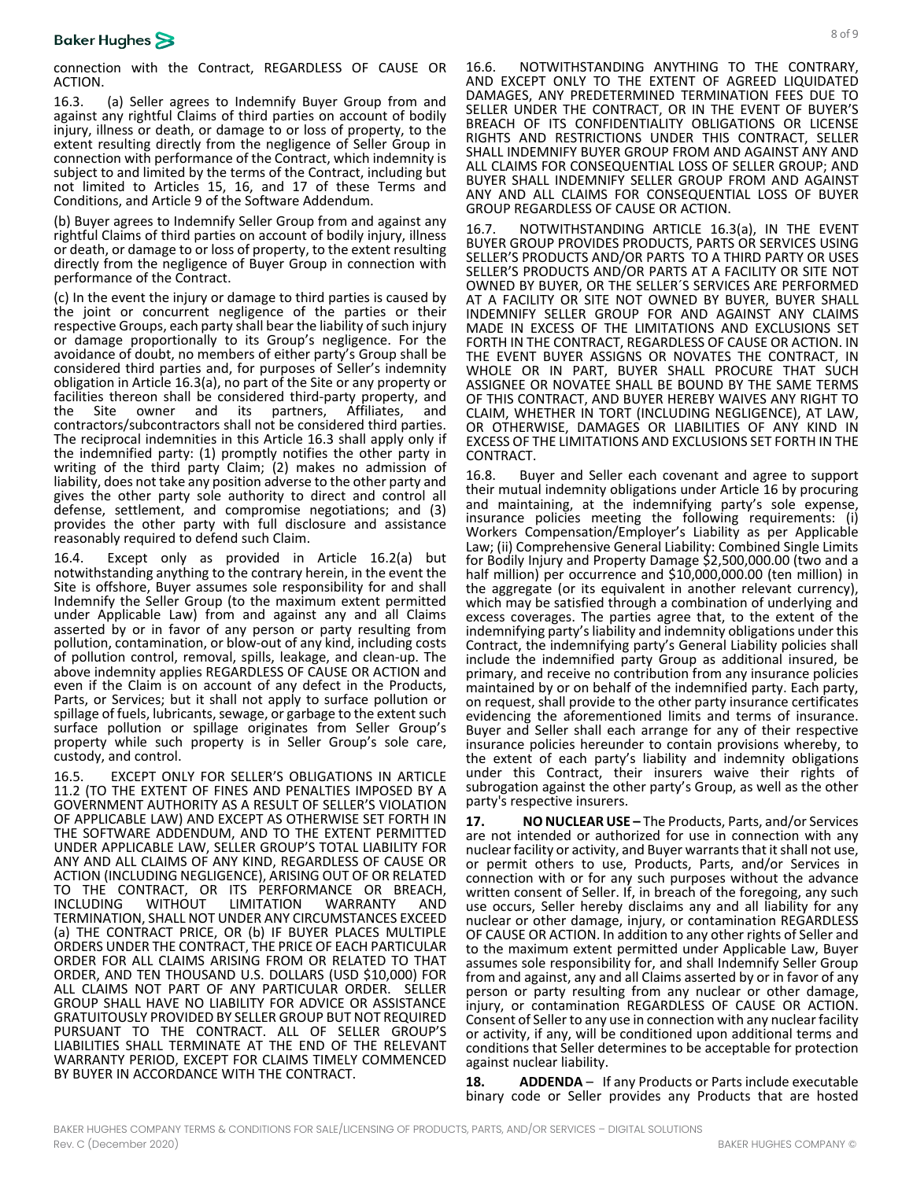connection with the Contract, REGARDLESS OF CAUSE OR ACTION.

<span id="page-7-1"></span>16.3. (a) Seller agrees to Indemnify Buyer Group from and against any rightful Claims of third parties on account of bodily injury, illness or death, or damage to or loss of property, to the extent resulting directly from the negligence of Seller Group in connection with performance of the Contract, which indemnity is subject to and limited by the terms of the Contract, including but not limited to Articles [15,](#page-6-5) [16,](#page-6-4) and [17](#page-7-0) of these Terms and Conditions, and Article 9 of the Software Addendum.

(b) Buyer agrees to Indemnify Seller Group from and against any rightful Claims of third parties on account of bodily injury, illness or death, or damage to or loss of property, to the extent resulting directly from the negligence of Buyer Group in connection with performance of the Contract.

(c) In the event the injury or damage to third parties is caused by the joint or concurrent negligence of the parties or their respective Groups, each party shall bear the liability of such injury or damage proportionally to its Group's negligence. For the avoidance of doubt, no members of either party's Group shall be considered third parties and, for purposes of Seller's indemnity obligation in Articl[e 16.3\(](#page-7-1)a), no part of the Site or any property or facilities thereon shall be considered third-party property, and the Site owner and its partners, Affiliates, and contractors/subcontractors shall not be considered third parties. The reciprocal indemnities in this Article [16.3](#page-7-1) shall apply only if the indemnified party: (1) promptly notifies the other party in writing of the third party Claim; (2) makes no admission of liability, does not take any position adverse to the other party and gives the other party sole authority to direct and control all defense, settlement, and compromise negotiations; and (3) provides the other party with full disclosure and assistance reasonably required to defend such Claim.

16.4. Except only as provided in Article [16.2\(](#page-6-6)a) but notwithstanding anything to the contrary herein, in the event the Site is offshore, Buyer assumes sole responsibility for and shall Indemnify the Seller Group (to the maximum extent permitted under Applicable Law) from and against any and all Claims asserted by or in favor of any person or party resulting from pollution, contamination, or blow-out of any kind, including costs of pollution control, removal, spills, leakage, and clean-up. The above indemnity applies REGARDLESS OF CAUSE OR ACTION and even if the Claim is on account of any defect in the Products, Parts, or Services; but it shall not apply to surface pollution or spillage of fuels, lubricants, sewage, or garbage to the extent such surface pollution or spillage originates from Seller Group's property while such property is in Seller Group's sole care, custody, and control.

16.5. EXCEPT ONLY FOR SELLER'S OBLIGATIONS IN ARTICLE [11.2](#page-4-2) (TO THE EXTENT OF FINES AND PENALTIES IMPOSED BY A GOVERNMENT AUTHORITY AS A RESULT OF SELLER'S VIOLATION OF APPLICABLE LAW) AND EXCEPT AS OTHERWISE SET FORTH IN THE SOFTWARE ADDENDUM, AND TO THE EXTENT PERMITTED UNDER APPLICABLE LAW, SELLER GROUP'S TOTAL LIABILITY FOR ANY AND ALL CLAIMS OF ANY KIND, REGARDLESS OF CAUSE OR ACTION (INCLUDING NEGLIGENCE), ARISING OUT OF OR RELATED TO THE CONTRACT, OR ITS PERFORMANCE OR BREACH,<br>INCLUDING WITHOUT LIMITATION WARRANTY AND INCLUDING WITHOUT LIMITATION WARRANTY AND TERMINATION, SHALL NOT UNDER ANY CIRCUMSTANCES EXCEED (a) THE CONTRACT PRICE, OR (b) IF BUYER PLACES MULTIPLE ORDERS UNDER THE CONTRACT, THE PRICE OF EACH PARTICULAR ORDER FOR ALL CLAIMS ARISING FROM OR RELATED TO THAT ORDER, AND TEN THOUSAND U.S. DOLLARS (USD \$10,000) FOR ALL CLAIMS NOT PART OF ANY PARTICULAR ORDER. SELLER GROUP SHALL HAVE NO LIABILITY FOR ADVICE OR ASSISTANCE GRATUITOUSLY PROVIDED BY SELLER GROUP BUT NOT REQUIRED PURSUANT TO THE CONTRACT. ALL OF SELLER GROUP'S LIABILITIES SHALL TERMINATE AT THE END OF THE RELEVANT WARRANTY PERIOD, EXCEPT FOR CLAIMS TIMELY COMMENCED BY BUYER IN ACCORDANCE WITH THE CONTRACT.

16.6. NOTWITHSTANDING ANYTHING TO THE CONTRARY, AND EXCEPT ONLY TO THE EXTENT OF AGREED LIQUIDATED DAMAGES, ANY PREDETERMINED TERMINATION FEES DUE TO SELLER UNDER THE CONTRACT, OR IN THE EVENT OF BUYER'S BREACH OF ITS CONFIDENTIALITY OBLIGATIONS OR LICENSE RIGHTS AND RESTRICTIONS UNDER THIS CONTRACT, SELLER SHALL INDEMNIFY BUYER GROUP FROM AND AGAINST ANY AND ALL CLAIMS FOR CONSEQUENTIAL LOSS OF SELLER GROUP; AND BUYER SHALL INDEMNIFY SELLER GROUP FROM AND AGAINST ANY AND ALL CLAIMS FOR CONSEQUENTIAL LOSS OF BUYER GROUP REGARDLESS OF CAUSE OR ACTION.

16.7. NOTWITHSTANDING ARTICLE [16.3\(](#page-7-1)a), IN THE EVENT BUYER GROUP PROVIDES PRODUCTS, PARTS OR SERVICES USING SELLER'S PRODUCTS AND/OR PARTS TO A THIRD PARTY OR USES SELLER'S PRODUCTS AND/OR PARTS AT A FACILITY OR SITE NOT OWNED BY BUYER, OR THE SELLER´S SERVICES ARE PERFORMED AT A FACILITY OR SITE NOT OWNED BY BUYER, BUYER SHALL INDEMNIFY SELLER GROUP FOR AND AGAINST ANY CLAIMS MADE IN EXCESS OF THE LIMITATIONS AND EXCLUSIONS SET FORTH IN THE CONTRACT, REGARDLESS OF CAUSE OR ACTION. IN THE EVENT BUYER ASSIGNS OR NOVATES THE CONTRACT, IN WHOLE OR IN PART, BUYER SHALL PROCURE THAT SUCH ASSIGNEE OR NOVATEE SHALL BE BOUND BY THE SAME TERMS OF THIS CONTRACT, AND BUYER HEREBY WAIVES ANY RIGHT TO CLAIM, WHETHER IN TORT (INCLUDING NEGLIGENCE), AT LAW, OR OTHERWISE, DAMAGES OR LIABILITIES OF ANY KIND IN EXCESS OF THE LIMITATIONS AND EXCLUSIONS SET FORTH IN THE CONTRACT.

16.8. Buyer and Seller each covenant and agree to support their mutual indemnity obligations under Article [16](#page-6-4) by procuring and maintaining, at the indemnifying party's sole expense, insurance policies meeting the following requirements: (i) Workers Compensation/Employer's Liability as per Applicable Law; (ii) Comprehensive General Liability: Combined Single Limits for Bodily Injury and Property Damage \$2,500,000.00 (two and a half million) per occurrence and \$10,000,000.00 (ten million) in the aggregate (or its equivalent in another relevant currency), which may be satisfied through a combination of underlying and excess coverages. The parties agree that, to the extent of the indemnifying party's liability and indemnity obligations under this Contract, the indemnifying party's General Liability policies shall include the indemnified party Group as additional insured, be primary, and receive no contribution from any insurance policies maintained by or on behalf of the indemnified party. Each party, on request, shall provide to the other party insurance certificates evidencing the aforementioned limits and terms of insurance. Buyer and Seller shall each arrange for any of their respective insurance policies hereunder to contain provisions whereby, to the extent of each party's liability and indemnity obligations under this Contract, their insurers waive their rights of subrogation against the other party's Group, as well as the other party's respective insurers.

<span id="page-7-0"></span>**17. NO NUCLEAR USE –** The Products, Parts, and/or Services are not intended or authorized for use in connection with any nuclear facility or activity, and Buyer warrants that it shall not use, or permit others to use, Products, Parts, and/or Services in connection with or for any such purposes without the advance written consent of Seller. If, in breach of the foregoing, any such use occurs, Seller hereby disclaims any and all liability for any nuclear or other damage, injury, or contamination REGARDLESS OF CAUSE OR ACTION. In addition to any other rights of Seller and to the maximum extent permitted under Applicable Law, Buyer assumes sole responsibility for, and shall Indemnify Seller Group from and against, any and all Claims asserted by or in favor of any person or party resulting from any nuclear or other damage, injury, or contamination REGARDLESS OF CAUSE OR ACTION. Consent of Seller to any use in connection with any nuclear facility or activity, if any, will be conditioned upon additional terms and conditions that Seller determines to be acceptable for protection against nuclear liability.

**18. ADDENDA** – If any Products or Parts include executable binary code or Seller provides any Products that are hosted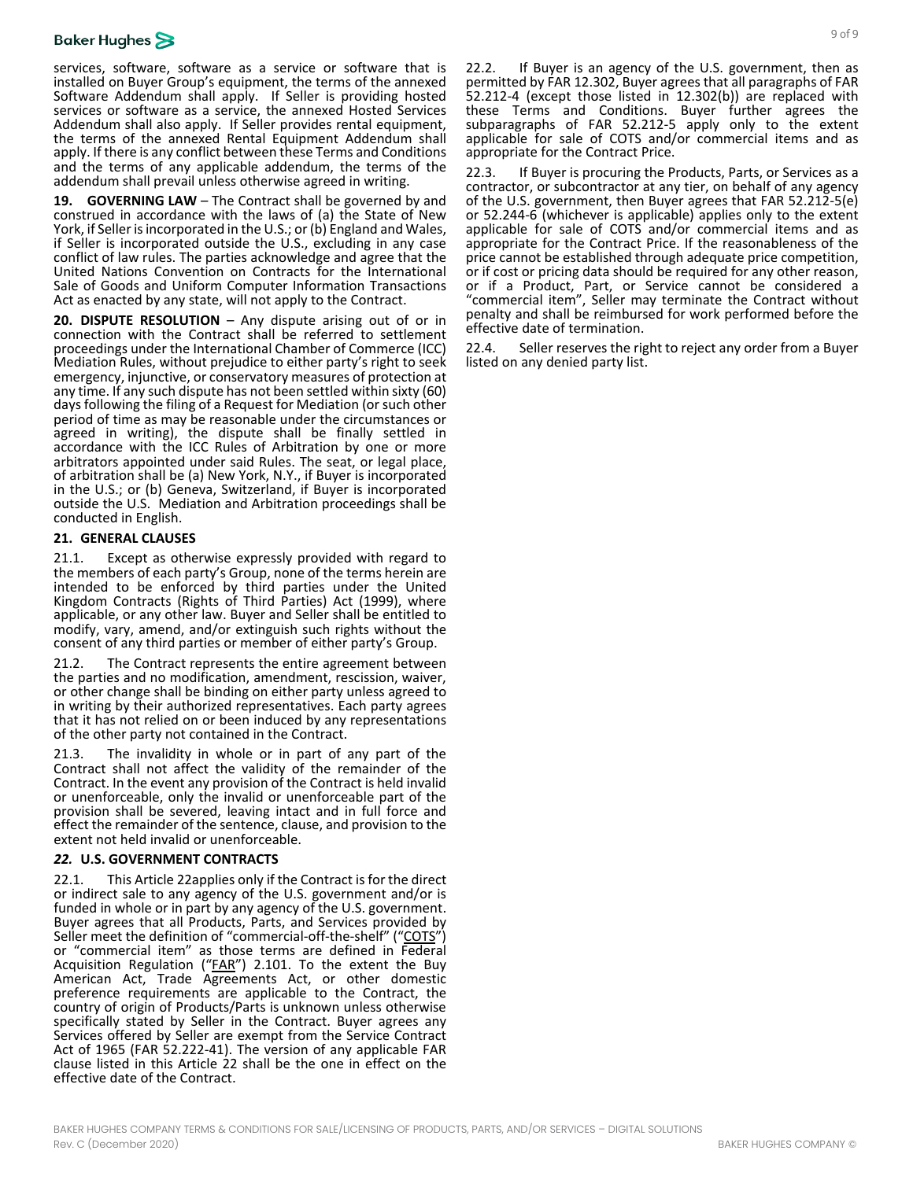services, software, software as a service or software that is installed on Buyer Group's equipment, the terms of the annexed Software Addendum shall apply. If Seller is providing hosted services or software as a service, the annexed Hosted Services Addendum shall also apply. If Seller provides rental equipment, the terms of the annexed Rental Equipment Addendum shall apply. If there is any conflict between these Terms and Conditions and the terms of any applicable addendum, the terms of the addendum shall prevail unless otherwise agreed in writing.

**19. GOVERNING LAW** – The Contract shall be governed by and construed in accordance with the laws of (a) the State of New York, if Seller is incorporated in the U.S.; or (b) England and Wales, if Seller is incorporated outside the U.S., excluding in any case conflict of law rules. The parties acknowledge and agree that the United Nations Convention on Contracts for the International Sale of Goods and Uniform Computer Information Transactions Act as enacted by any state, will not apply to the Contract.

**20. DISPUTE RESOLUTION** – Any dispute arising out of or in connection with the Contract shall be referred to settlement proceedings under the International Chamber of Commerce (ICC) Mediation Rules, without prejudice to either party's right to seek emergency, injunctive, or conservatory measures of protection at any time. If any such dispute has not been settled within sixty (60) days following the filing of a Request for Mediation (or such other period of time as may be reasonable under the circumstances or agreed in writing), the dispute shall be finally settled in accordance with the ICC Rules of Arbitration by one or more arbitrators appointed under said Rules. The seat, or legal place, of arbitration shall be (a) New York, N.Y., if Buyer is incorporated in the U.S.; or (b) Geneva, Switzerland, if Buyer is incorporated outside the U.S. Mediation and Arbitration proceedings shall be conducted in English.

### **21. GENERAL CLAUSES**

21.1. Except as otherwise expressly provided with regard to the members of each party's Group, none of the terms herein are intended to be enforced by third parties under the United Kingdom Contracts (Rights of Third Parties) Act (1999), where applicable, or any other law. Buyer and Seller shall be entitled to modify, vary, amend, and/or extinguish such rights without the consent of any third parties or member of either party's Group.

21.2. The Contract represents the entire agreement between the parties and no modification, amendment, rescission, waiver, or other change shall be binding on either party unless agreed to in writing by their authorized representatives. Each party agrees that it has not relied on or been induced by any representations of the other party not contained in the Contract.

21.3. The invalidity in whole or in part of any part of the Contract shall not affect the validity of the remainder of the Contract. In the event any provision of the Contract is held invalid or unenforceable, only the invalid or unenforceable part of the provision shall be severed, leaving intact and in full force and effect the remainder of the sentence, clause, and provision to the extent not held invalid or unenforceable.

# <span id="page-8-0"></span>*22.* **U.S. GOVERNMENT CONTRACTS**

22.1. This Articl[e 22a](#page-8-0)pplies only if the Contract is for the direct or indirect sale to any agency of the U.S. government and/or is funded in whole or in part by any agency of the U.S. government. Buyer agrees that all Products, Parts, and Services provided by Seller meet the definition of "commercial-off-the-shelf" ("COTS") or "commercial item" as those terms are defined in Federal Acquisition Regulation ("FAR") 2.101. To the extent the Buy American Act, Trade Agreements Act, or other domestic preference requirements are applicable to the Contract, the country of origin of Products/Parts is unknown unless otherwise specifically stated by Seller in the Contract. Buyer agrees any Services offered by Seller are exempt from the Service Contract Act of 1965 (FAR 52.222-41). The version of any applicable FAR clause listed in this Article [22](#page-8-0) shall be the one in effect on the effective date of the Contract.

22.2. If Buyer is an agency of the U.S. government, then as permitted by FAR 12.302, Buyer agrees that all paragraphs of FAR 52.212-4 (except those listed in 12.302(b)) are replaced with these Terms and Conditions. Buyer further agrees the subparagraphs of FAR 52.212-5 apply only to the extent applicable for sale of COTS and/or commercial items and as appropriate for the Contract Price.

22.3. If Buyer is procuring the Products, Parts, or Services as a contractor, or subcontractor at any tier, on behalf of any agency of the U.S. government, then Buyer agrees that FAR 52.212-5(e) or 52.244-6 (whichever is applicable) applies only to the extent applicable for sale of COTS and/or commercial items and as appropriate for the Contract Price. If the reasonableness of the price cannot be established through adequate price competition, or if cost or pricing data should be required for any other reason, or if a Product, Part, or Service cannot be considered a "commercial item", Seller may terminate the Contract without penalty and shall be reimbursed for work performed before the effective date of termination.

22.4. Seller reserves the right to reject any order from a Buyer listed on any denied party list.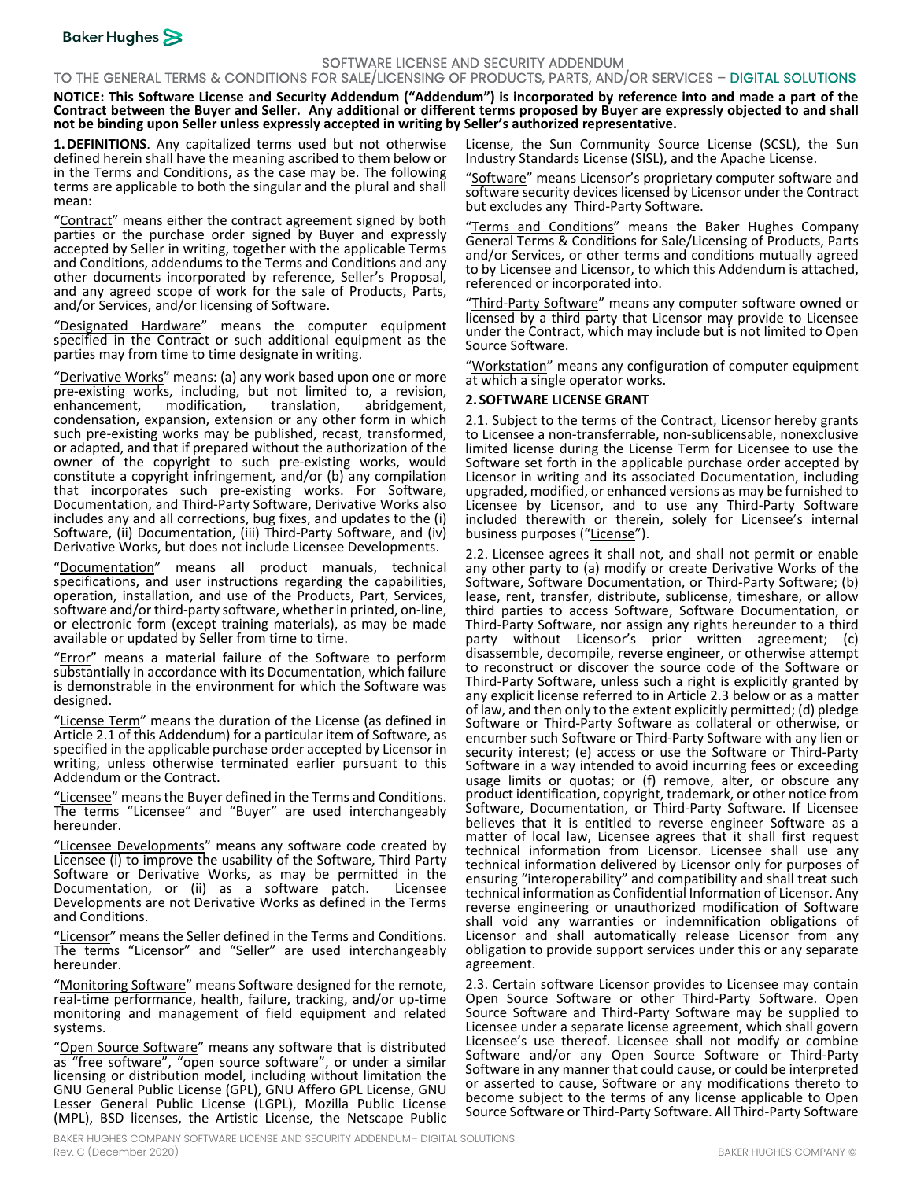

## SOFTWARE LICENSE AND SECURITY ADDENDUM

TO THE GENERAL TERMS & CONDITIONS FOR SALE/LICENSING OF PRODUCTS, PARTS, AND/OR SERVICES – DIGITAL SOLUTIONS

**NOTICE: This Software License and Security Addendum ("Addendum") is incorporated by reference into and made a part of the Contract between the Buyer and Seller. Any additional or different terms proposed by Buyer are expressly objected to and shall not be binding upon Seller unless expressly accepted in writing by Seller's authorized representative.**

**1.DEFINITIONS**. Any capitalized terms used but not otherwise defined herein shall have the meaning ascribed to them below or in the Terms and Conditions, as the case may be. The following terms are applicable to both the singular and the plural and shall mean:

"Contract" means either the contract agreement signed by both parties or the purchase order signed by Buyer and expressly accepted by Seller in writing, together with the applicable Terms and Conditions, addendums to the Terms and Conditions and any other documents incorporated by reference, Seller's Proposal, and any agreed scope of work for the sale of Products, Parts, and/or Services, and/or licensing of Software.

"Designated Hardware" means the computer equipment specified in the Contract or such additional equipment as the parties may from time to time designate in writing.

"Derivative Works" means: (a) any work based upon one or more pre-existing works, including, but not limited to, a revision, modification, condensation, expansion, extension or any other form in which such pre-existing works may be published, recast, transformed, or adapted, and that if prepared without the authorization of the owner of the copyright to such pre-existing works, would constitute a copyright infringement, and/or (b) any compilation that incorporates such pre-existing works. For Software, Documentation, and Third-Party Software, Derivative Works also includes any and all corrections, bug fixes, and updates to the (i) Software, (ii) Documentation, (iii) Third-Party Software, and (iv) Derivative Works, but does not include Licensee Developments.

"Documentation" means all product manuals, technical specifications, and user instructions regarding the capabilities, operation, installation, and use of the Products, Part, Services, software and/or third-party software, whether in printed, on-line, or electronic form (except training materials), as may be made available or updated by Seller from time to time.

"Error" means a material failure of the Software to perform substantially in accordance with its Documentation, which failure is demonstrable in the environment for which the Software was designed.

"License Term" means the duration of the License (as defined in Articl[e 2.1](#page-9-0) of this Addendum) for a particular item of Software, as specified in the applicable purchase order accepted by Licensor in writing, unless otherwise terminated earlier pursuant to this Addendum or the Contract.

"Licensee" means the Buyer defined in the Terms and Conditions. The terms "Licensee" and "Buyer" are used interchangeably hereunder.

"Licensee Developments" means any software code created by Licensee (i) to improve the usability of the Software, Third Party Software or Derivative Works, as may be permitted in the Documentation, or (ii) as a software patch. Licensee Developments are not Derivative Works as defined in the Terms and Conditions.

"Licensor" means the Seller defined in the Terms and Conditions. The terms "Licensor" and "Seller" are used interchangeably hereunder.

"Monitoring Software" means Software designed for the remote, real-time performance, health, failure, tracking, and/or up-time monitoring and management of field equipment and related systems.

"Open Source Software" means any software that is distributed as "free software", "open source software", or under a similar licensing or distribution model, including without limitation the GNU General Public License (GPL), GNU Affero GPL License, GNU Lesser General Public License (LGPL), Mozilla Public License (MPL), BSD licenses, the Artistic License, the Netscape Public

Software" means Licensor's proprietary computer software and software security devices licensed by Licensor under the Contract but excludes any Third-Party Software.

"Terms and Conditions" means the Baker Hughes Company General Terms & Conditions for Sale/Licensing of Products, Parts and/or Services, or other terms and conditions mutually agreed to by Licensee and Licensor, to which this Addendum is attached, referenced or incorporated into.

"Third-Party Software" means any computer software owned or licensed by a third party that Licensor may provide to Licensee under the Contract, which may include but is not limited to Open Source Software.

"Workstation" means any configuration of computer equipment at which a single operator works.

#### <span id="page-9-2"></span>**2. SOFTWARE LICENSE GRANT**

<span id="page-9-0"></span>2.1. Subject to the terms of the Contract, Licensor hereby grants to Licensee a non-transferrable, non-sublicensable, nonexclusive limited license during the License Term for Licensee to use the Software set forth in the applicable purchase order accepted by Licensor in writing and its associated Documentation, including upgraded, modified, or enhanced versions as may be furnished to Licensee by Licensor, and to use any Third-Party Software included therewith or therein, solely for Licensee's internal business purposes ("License").

2.2. Licensee agrees it shall not, and shall not permit or enable any other party to (a) modify or create Derivative Works of the Software, Software Documentation, or Third-Party Software; (b) lease, rent, transfer, distribute, sublicense, timeshare, or allow third parties to access Software, Software Documentation, or Third-Party Software, nor assign any rights hereunder to a third party without Licensor's prior written agreement; (c) disassemble, decompile, reverse engineer, or otherwise attempt to reconstruct or discover the source code of the Software or Third-Party Software, unless such a right is explicitly granted by any explicit license referred to in Articl[e 2.3](#page-9-1) below or as a matter of law, and then only to the extent explicitly permitted; (d) pledge Software or Third-Party Software as collateral or otherwise, or encumber such Software or Third-Party Software with any lien or security interest; (e) access or use the Software or Third-Party Software in a way intended to avoid incurring fees or exceeding usage limits or quotas; or (f) remove, alter, or obscure any product identification, copyright, trademark, or other notice from Software, Documentation, or Third-Party Software. If Licensee believes that it is entitled to reverse engineer Software as a matter of local law, Licensee agrees that it shall first request technical information from Licensor. Licensee shall use any technical information delivered by Licensor only for purposes of ensuring "interoperability" and compatibility and shall treat such technical information as Confidential Information of Licensor. Any reverse engineering or unauthorized modification of Software shall void any warranties or indemnification obligations of Licensor and shall automatically release Licensor from any obligation to provide support services under this or any separate agreement.

<span id="page-9-1"></span>2.3. Certain software Licensor provides to Licensee may contain Open Source Software or other Third-Party Software. Open Source Software and Third-Party Software may be supplied to Licensee under a separate license agreement, which shall govern Licensee's use thereof. Licensee shall not modify or combine Software and/or any Open Source Software or Third-Party Software in any manner that could cause, or could be interpreted or asserted to cause, Software or any modifications thereto to become subject to the terms of any license applicable to Open Source Software or Third-Party Software. All Third-Party Software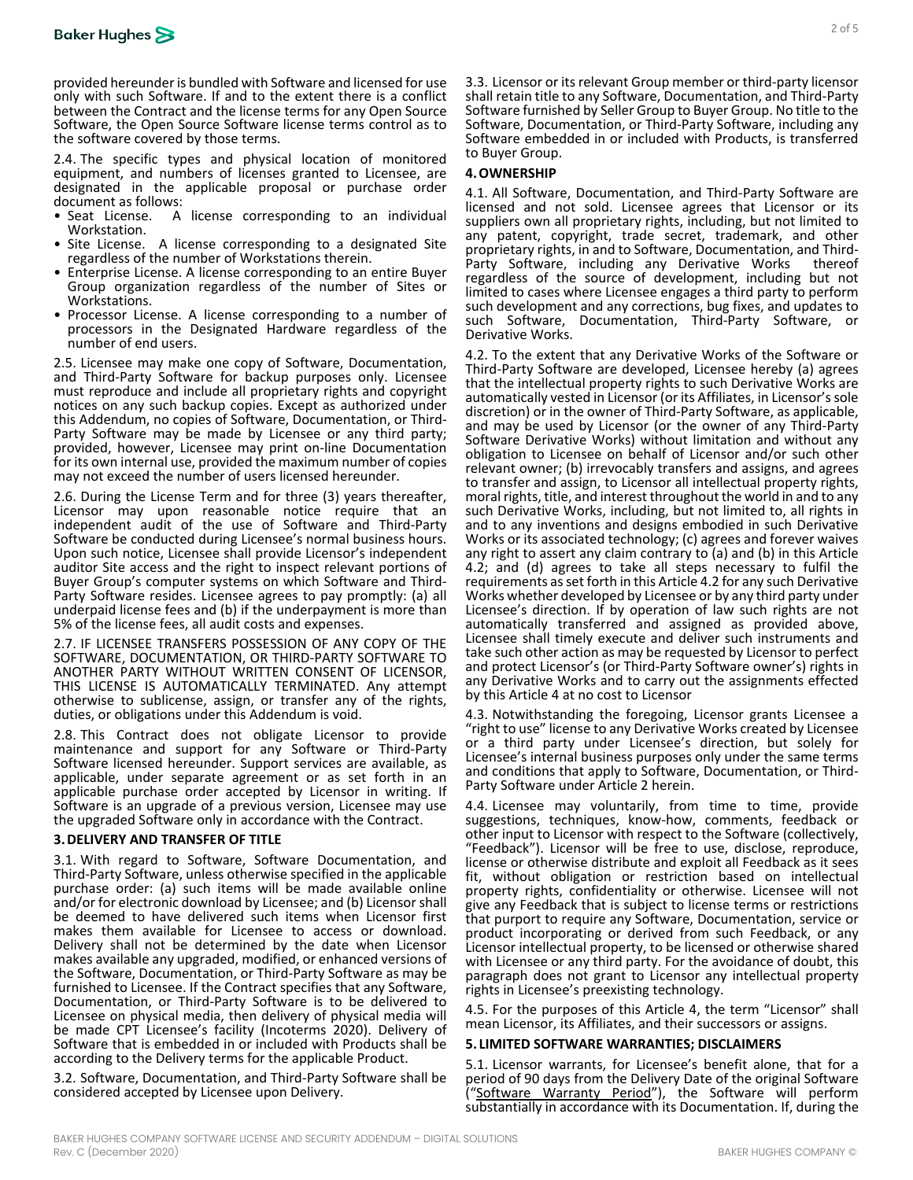

provided hereunder is bundled with Software and licensed for use only with such Software. If and to the extent there is a conflict between the Contract and the license terms for any Open Source Software, the Open Source Software license terms control as to the software covered by those terms.

2.4. The specific types and physical location of monitored equipment, and numbers of licenses granted to Licensee, are designated in the applicable proposal or purchase order document as follows:

- Seat License. A license corresponding to an individual Workstation.
- Site License. A license corresponding to a designated Site regardless of the number of Workstations therein.
- Enterprise License. A license corresponding to an entire Buyer Group organization regardless of the number of Sites or Workstations.
- Processor License. A license corresponding to a number of processors in the Designated Hardware regardless of the number of end users.

2.5. Licensee may make one copy of Software, Documentation, and Third-Party Software for backup purposes only. Licensee must reproduce and include all proprietary rights and copyright notices on any such backup copies. Except as authorized under Party Software may be made by Licensee or any third party; provided, however, Licensee may print on-line Documentation for its own internal use, provided the maximum number of copies may not exceed the number of users licensed hereunder.

2.6. During the License Term and for three (3) years thereafter, Licensor may upon reasonable notice require that an independent audit of the use of Software and Third-Party Software be conducted during Licensee's normal business hours. Upon such notice, Licensee shall provide Licensor's independent auditor Site access and the right to inspect relevant portions of Party Software resides. Licensee agrees to pay promptly: (a) all underpaid license fees and (b) if the underpayment is more than 5% of the license fees, all audit costs and expenses.

2.7. IF LICENSEE TRANSFERS POSSESSION OF ANY COPY OF THE SOFTWARE, DOCUMENTATION, OR THIRD-PARTY SOFTWARE TO ANOTHER PARTY WITHOUT WRITTEN CONSENT OF LICENSOR, THIS LICENSE IS AUTOMATICALLY TERMINATED. Any attempt otherwise to sublicense, assign, or transfer any of the rights, duties, or obligations under this Addendum is void.

2.8. This Contract does not obligate Licensor to provide maintenance and support for any Software or Third-Party Software licensed hereunder. Support services are available, as applicable, under separate agreement or as set forth in an applicable purchase order accepted by Licensor in writing. If Software is an upgrade of a previous version, Licensee may use the upgraded Software only in accordance with the Contract.

### **3.DELIVERY AND TRANSFER OF TITLE**

3.1. With regard to Software, Software Documentation, and Third-Party Software, unless otherwise specified in the applicable purchase order: (a) such items will be made available online and/or for electronic download by Licensee; and (b) Licensor shall be deemed to have delivered such items when Licensor first makes them available for Licensee to access or download. Delivery shall not be determined by the date when Licensor makes available any upgraded, modified, or enhanced versions of the Software, Documentation, or Third-Party Software as may be furnished to Licensee. If the Contract specifies that any Software, Documentation, or Third-Party Software is to be delivered to Licensee on physical media, then delivery of physical media will be made CPT Licensee's facility (Incoterms 2020). Delivery of Software that is embedded in or included with Products shall be according to the Delivery terms for the applicable Product.

3.2. Software, Documentation, and Third-Party Software shall be considered accepted by Licensee upon Delivery.

3.3. Licensor or its relevant Group member or third-party licensor shall retain title to any Software, Documentation, and Third-Party Software furnished by Seller Group to Buyer Group. No title to the Software, Documentation, or Third-Party Software, including any Software embedded in or included with Products, is transferred to Buyer Group.

#### <span id="page-10-0"></span>**4.OWNERSHIP**

4.1. All Software, Documentation, and Third-Party Software are licensed and not sold. Licensee agrees that Licensor or its suppliers own all proprietary rights, including, but not limited to any patent, copyright, trade secret, trademark, and other proprietary rights, in and to Software, Documentation, and Third-<br>Party Software, including any Derivative Works thereof regardless of the source of development, including but not limited to cases where Licensee engages a third party to perform such development and any corrections, bug fixes, and updates to such Software, Documentation, Third-Party Software, or Derivative Works.

4.2. To the extent that any Derivative Works of the Software or Third-Party Software are developed, Licensee hereby (a) agrees that the intellectual property rights to such Derivative Works are automatically vested in Licensor (or its Affiliates, in Licensor's sole discretion) or in the owner of Third-Party Software, as applicable, and may be used by Licensor (or the owner of any Third-Party Software Derivative Works) without limitation and without any obligation to Licensee on behalf of Licensor and/or such other relevant owner; (b) irrevocably transfers and assigns, and agrees to transfer and assign, to Licensor all intellectual property rights, moral rights, title, and interest throughout the world in and to any such Derivative Works, including, but not limited to, all rights in and to any inventions and designs embodied in such Derivative Works or its associated technology; (c) agrees and forever waives any right to assert any claim contrary to (a) and (b) in this Article [4.2;](#page-2-1) and (d) agrees to take all steps necessary to fulfil the requirements as set forth in this Article 4.2 for any such Derivative Works whether developed by Licensee or by any third party under Licensee's direction. If by operation of law such rights are not automatically transferred and assigned as provided above, Licensee shall timely execute and deliver such instruments and take such other action as may be requested by Licensor to perfect and protect Licensor's (or Third-Party Software owner's) rights in any Derivative Works and to carry out the assignments effected by this Article [4](#page-10-0) at no cost to Licensor

4.3. Notwithstanding the foregoing, Licensor grants Licensee a "right to use" license to any Derivative Works created by Licensee or a third party under Licensee's direction, but solely for Licensee's internal business purposes only under the same terms and conditions that apply to Software, Documentation, or Third- Party Software under Article [2](#page-9-2) herein.

4.4. Licensee may voluntarily, from time to time, provide suggestions, techniques, know-how, comments, feedback or other input to Licensor with respect to the Software (collectively, "Feedback"). Licensor will be free to use, disclose, reproduce, license or otherwise distribute and exploit all Feedback as it sees fit, without obligation or restriction based on intellectual property rights, confidentiality or otherwise. Licensee will not give any Feedback that is subject to license terms or restrictions that purport to require any Software, Documentation, service or product incorporating or derived from such Feedback, or any Licensor intellectual property, to be licensed or otherwise shared with Licensee or any third party. For the avoidance of doubt, this paragraph does not grant to Licensor any intellectual property rights in Licensee's preexisting technology.

4.5. For the purposes of this Article [4,](#page-10-0) the term "Licensor" shall mean Licensor, its Affiliates, and their successors or assigns.

#### <span id="page-10-1"></span>**5. LIMITED SOFTWARE WARRANTIES; DISCLAIMERS**

<span id="page-10-2"></span>5.1. Licensor warrants, for Licensee's benefit alone, that for a period of 90 days from the Delivery Date of the original Software ("Software Warranty Period"), the Software will perform substantially in accordance with its Documentation. If, during the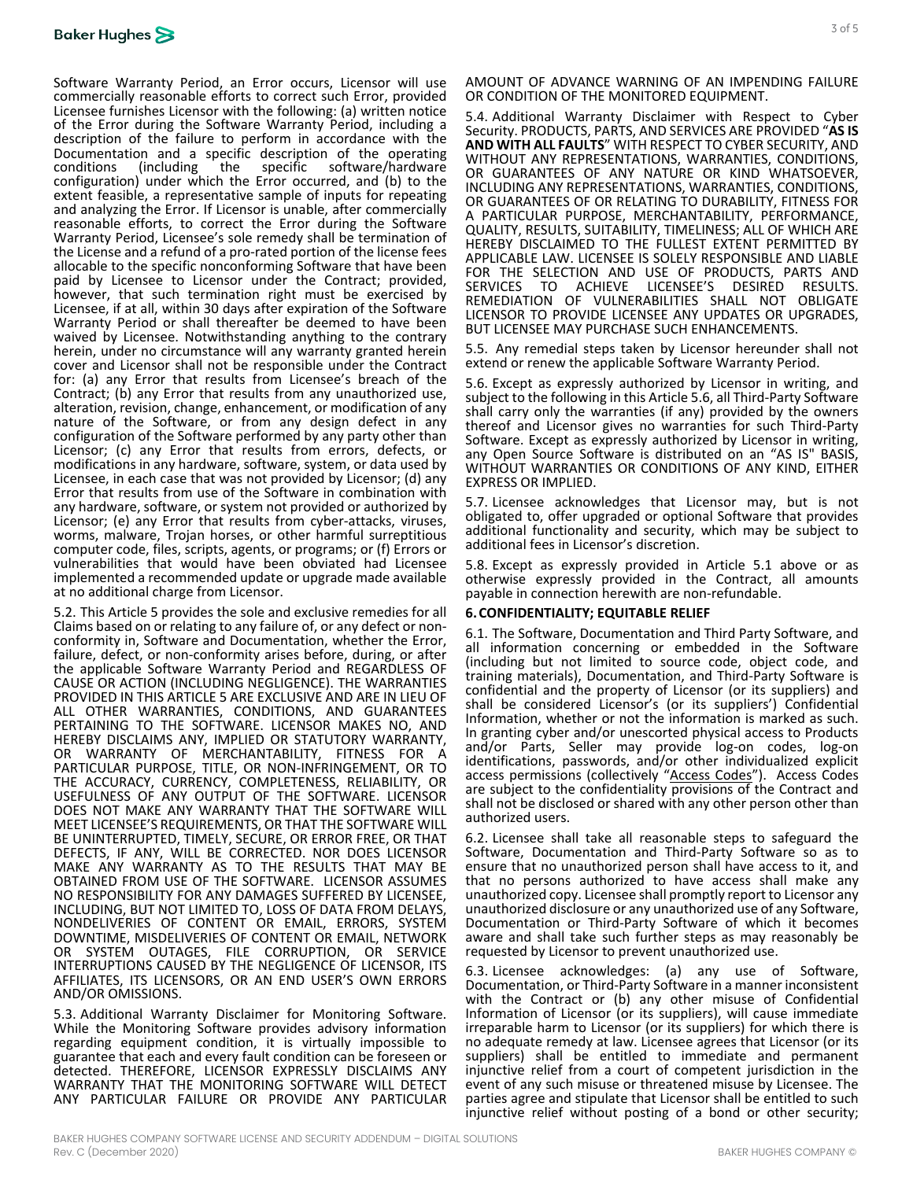

Software Warranty Period, an Error occurs, Licensor will use commercially reasonable efforts to correct such Error, provided Licensee furnishes Licensor with the following: (a) written notice of the Error during the Software Warranty Period, including a description of the failure to perform in accordance with the Documentation and a specific description of the operating conditions (including the specific software/hardware configuration) under which the Error occurred, and (b) to the extent feasible, a representative sample of inputs for repeating and analyzing the Error. If Licensor is unable, after commercially reasonable efforts, to correct the Error during the Software Warranty Period, Licensee's sole remedy shall be termination of the License and a refund of a pro-rated portion of the license fees allocable to the specific nonconforming Software that have been paid by Licensee to Licensor under the Contract; provided, however, that such termination right must be exercised by Licensee, if at all, within 30 days after expiration of the Software Warranty Period or shall thereafter be deemed to have been waived by Licensee. Notwithstanding anything to the contrary herein, under no circumstance will any warranty granted herein cover and Licensor shall not be responsible under the Contract for: (a) any Error that results from Licensee's breach of the Contract; (b) any Error that results from any unauthorized use, alteration, revision, change, enhancement, or modification of any nature of the Software, or from any design defect in any configuration of the Software performed by any party other than Licensor; (c) any Error that results from errors, defects, or modifications in any hardware, software, system, or data used by Licensee, in each case that was not provided by Licensor; (d) any Error that results from use of the Software in combination with any hardware, software, or system not provided or authorized by Licensor; (e) any Error that results from cyber-attacks, viruses, worms, malware, Trojan horses, or other harmful surreptitious computer code, files, scripts, agents, or programs; or (f) Errors or vulnerabilities that would have been obviated had Licensee implemented a recommended update or upgrade made available at no additional charge from Licensor.

5.2. This Article [5](#page-10-1) provides the sole and exclusive remedies for all Claims based on or relating to any failure of, or any defect or non- conformity in, Software and Documentation, whether the Error, failure, defect, or non-conformity arises before, during, or after the applicable Software Warranty Period and REGARDLESS OF CAUSE OR ACTION (INCLUDING NEGLIGENCE). THE WARRANTIES PROVIDED IN THIS ARTICL[E 5](#page-10-1) ARE EXCLUSIVE AND ARE IN LIEU OF ALL OTHER WARRANTIES, CONDITIONS, AND GUARANTEES PERTAINING TO THE SOFTWARE. LICENSOR MAKES NO, AND HEREBY DISCLAIMS ANY, IMPLIED OR STATUTORY WARRANTY, OR WARRANTY OF MERCHANTABILITY, FITNESS FOR A PARTICULAR PURPOSE, TITLE, OR NON-INFRINGEMENT, OR TO THE ACCURACY, CURRENCY, COMPLETENESS, RELIABILITY, OR USEFULNESS OF ANY OUTPUT OF THE SOFTWARE. LICENSOR DOES NOT MAKE ANY WARRANTY THAT THE SOFTWARE WILL MEET LICENSEE'S REQUIREMENTS, OR THAT THE SOFTWARE WILL BE UNINTERRUPTED, TIMELY, SECURE, OR ERROR FREE, OR THAT DEFECTS, IF ANY, WILL BE CORRECTED. NOR DOES LICENSOR MAKE ANY WARRANTY AS TO THE RESULTS THAT MAY BE OBTAINED FROM USE OF THE SOFTWARE. LICENSOR ASSUMES NO RESPONSIBILITY FOR ANY DAMAGES SUFFERED BY LICENSEE, INCLUDING, BUT NOT LIMITED TO, LOSS OF DATA FROM DELAYS, NONDELIVERIES OF CONTENT OR EMAIL, ERRORS, SYSTEM DOWNTIME, MISDELIVERIES OF CONTENT OR EMAIL, NETWORK OR SYSTEM OUTAGES, FILE CORRUPTION, OR SERVICE INTERRUPTIONS CAUSED BY THE NEGLIGENCE OF LICENSOR, ITS AFFILIATES, ITS LICENSORS, OR AN END USER'S OWN ERRORS AND/OR OMISSIONS.

5.3. Additional Warranty Disclaimer for Monitoring Software. While the Monitoring Software provides advisory information regarding equipment condition, it is virtually impossible to guarantee that each and every fault condition can be foreseen or detected. THEREFORE, LICENSOR EXPRESSLY DISCLAIMS ANY WARRANTY THAT THE MONITORING SOFTWARE WILL DETECT ANY PARTICULAR FAILURE OR PROVIDE ANY PARTICULAR AMOUNT OF ADVANCE WARNING OF AN IMPENDING FAILURE OR CONDITION OF THE MONITORED EQUIPMENT.

5.4. Additional Warranty Disclaimer with Respect to Cyber Security. PRODUCTS, PARTS, AND SERVICES ARE PROVIDED "**AS IS AND WITH ALL FAULTS**" WITH RESPECT TO CYBER SECURITY, AND WITHOUT ANY REPRESENTATIONS, WARRANTIES, CONDITIONS, OR GUARANTEES OF ANY NATURE OR KIND WHATSOEVER, INCLUDING ANY REPRESENTATIONS, WARRANTIES, CONDITIONS, OR GUARANTEES OF OR RELATING TO DURABILITY, FITNESS FOR A PARTICULAR PURPOSE, MERCHANTABILITY, PERFORMANCE, QUALITY, RESULTS, SUITABILITY, TIMELINESS; ALL OF WHICH ARE HEREBY DISCLAIMED TO THE FULLEST EXTENT PERMITTED BY APPLICABLE LAW. LICENSEE IS SOLELY RESPONSIBLE AND LIABLE FOR THE SELECTION AND USE OF PRODUCTS, PARTS AND<br>SERVICES TO ACHIEVE LICENSEE'S DESIRED RESULTS. REMEDIATION OF VULNERABILITIES SHALL NOT OBLIGATE LICENSOR TO PROVIDE LICENSEE ANY UPDATES OR UPGRADES, BUT LICENSEE MAY PURCHASE SUCH ENHANCEMENTS.

5.5. Any remedial steps taken by Licensor hereunder shall not extend or renew the applicable Software Warranty Period.

<span id="page-11-0"></span>5.6. Except as expressly authorized by Licensor in writing, and subject to the following in this Articl[e 5.6,](#page-11-0) all Third-Party Software shall carry only the warranties (if any) provided by the owners thereof and Licensor gives no warranties for such Third-Party Software. Except as expressly authorized by Licensor in writing, any Open Source Software is distributed on an "AS IS" BASIS, WITHOUT WARRANTIES OR CONDITIONS OF ANY KIND, EITHER EXPRESS OR IMPLIED.

5.7. Licensee acknowledges that Licensor may, but is not obligated to, offer upgraded or optional Software that provides additional functionality and security, which may be subject to additional fees in Licensor's discretion.

5.8. Except as expressly provided in Article [5.1](#page-10-2) above or as otherwise expressly provided in the Contract, all amounts payable in connection herewith are non-refundable.

#### **6.CONFIDENTIALITY; EQUITABLE RELIEF**

6.1. The Software, Documentation and Third Party Software, and all information concerning or embedded in the Software (including but not limited to source code, object code, and training materials), Documentation, and Third-Party Software is confidential and the property of Licensor (or its suppliers) and shall be considered Licensor's (or its suppliers') Confidential In granting cyber and/or unescorted physical access to Products and/or Parts, Seller may provide log-on codes, log-on identifications, passwords, and/or other individualized explicit access permissions (collectively "Access Codes"). Access Codes are subject to the confidentiality provisions of the Contract and shall not be disclosed or shared with any other person other than authorized users.

6.2. Licensee shall take all reasonable steps to safeguard the Software, Documentation and Third-Party Software so as to ensure that no unauthorized person shall have access to it, and that no persons authorized to have access shall make any unauthorized copy. Licensee shall promptly report to Licensor any unauthorized disclosure or any unauthorized use of any Software, Documentation or Third-Party Software of which it becomes aware and shall take such further steps as may reasonably be requested by Licensor to prevent unauthorized use.

6.3. Licensee acknowledges: (a) any use of Software, Documentation, or Third-Party Software in a manner inconsistent with the Contract or (b) any other misuse of Confidential Information of Licensor (or its suppliers), will cause immediate irreparable harm to Licensor (or its suppliers) for which there is no adequate remedy at law. Licensee agrees that Licensor (or its suppliers) shall be entitled to immediate and permanent injunctive relief from a court of competent jurisdiction in the event of any such misuse or threatened misuse by Licensee. The parties agree and stipulate that Licensor shall be entitled to such injunctive relief without posting of a bond or other security;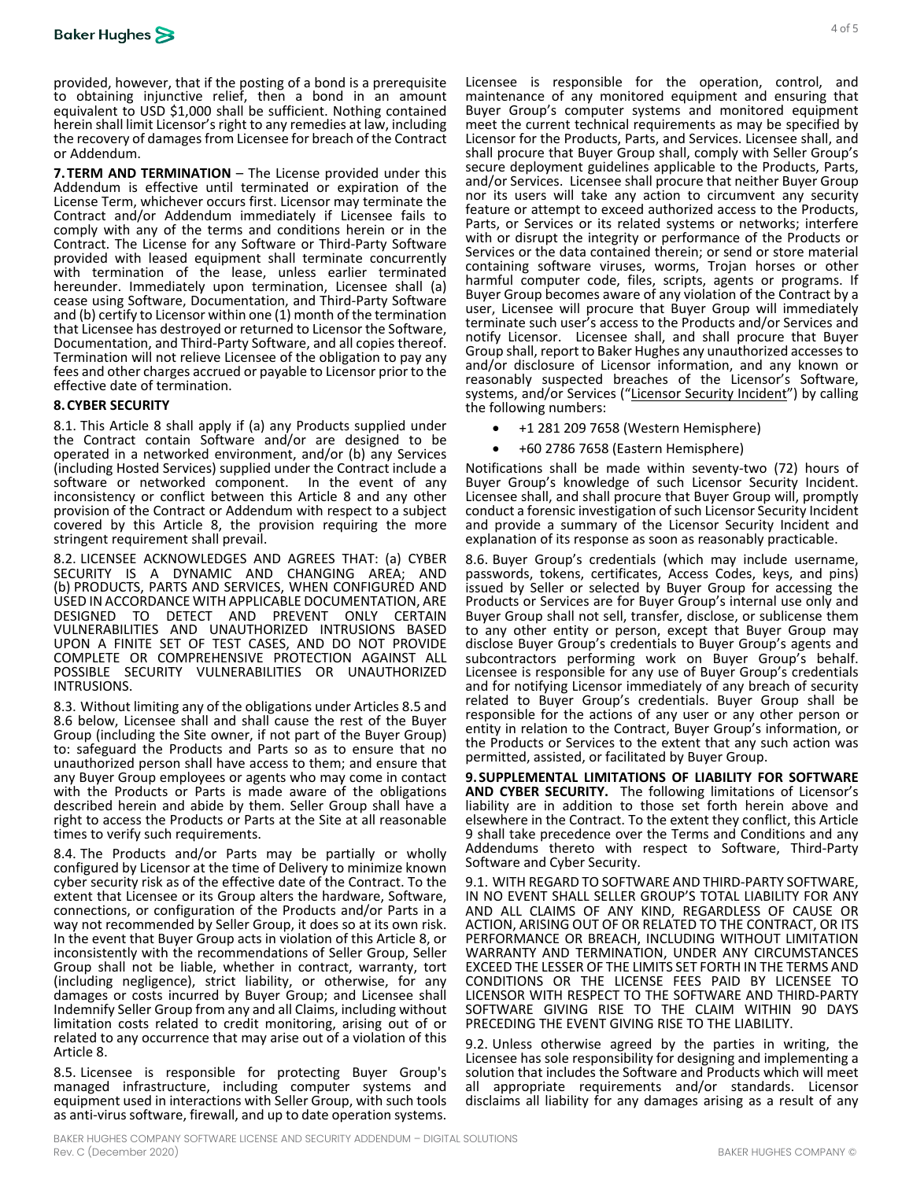provided, however, that if the posting of a bond is a prerequisite to obtaining injunctive relief, then a bond in an amount equivalent to USD \$1,000 shall be sufficient. Nothing contained herein shall limit Licensor's right to any remedies at law, including the recovery of damages from Licensee for breach of the Contract or Addendum.

**7.TERM AND TERMINATION** – The License provided under this Addendum is effective until terminated or expiration of the License Term, whichever occurs first. Licensor may terminate the Contract and/or Addendum immediately if Licensee fails to comply with any of the terms and conditions herein or in the Contract. The License for any Software or Third-Party Software provided with leased equipment shall terminate concurrently with termination of the lease, unless earlier terminated hereunder. Immediately upon termination, Licensee shall (a) cease using Software, Documentation, and Third-Party Software and (b) certify to Licensor within one (1) month of the termination that Licensee has destroyed or returned to Licensor the Software, Documentation, and Third-Party Software, and all copies thereof. Termination will not relieve Licensee of the obligation to pay any fees and other charges accrued or payable to Licensor prior to the effective date of termination.

#### <span id="page-12-0"></span>**8.CYBER SECURITY**

8.1. This Article [8](#page-12-0) shall apply if (a) any Products supplied under the Contract contain Software and/or are designed to be operated in a networked environment, and/or (b) any Services (including Hosted Services) supplied under the Contract include a software or networked component. In the event of any inconsistency or conflict between this Article [8](#page-12-0) and any other provision of the Contract or Addendum with respect to a subject covered by this Article [8,](#page-12-0) the provision requiring the more stringent requirement shall prevail.

8.2. LICENSEE ACKNOWLEDGES AND AGREES THAT: (a) CYBER SECURITY IS A DYNAMIC AND CHANGING AREA; AND (b) PRODUCTS, PARTS AND SERVICES, WHEN CONFIGURED AND USED IN ACCORDANCE WITH APPLICABLE DOCUMENTATION, ARE DESIGNED TO DETECT AND PREVENT ONLY CERTAIN VULNERABILITIES AND UNAUTHORIZED INTRUSIONS BASED UPON A FINITE SET OF TEST CASES, AND DO NOT PROVIDE COMPLETE OR COMPREHENSIVE PROTECTION AGAINST ALL POSSIBLE SECURITY VULNERABILITIES OR UNAUTHORIZED INTRUSIONS.

8.3. Without limiting any of the obligations under Articles [8.5](#page-12-1) and [8.6](#page-12-2) below, Licensee shall and shall cause the rest of the Buyer Group (including the Site owner, if not part of the Buyer Group) to: safeguard the Products and Parts so as to ensure that no unauthorized person shall have access to them; and ensure that any Buyer Group employees or agents who may come in contact with the Products or Parts is made aware of the obligations described herein and abide by them. Seller Group shall have a right to access the Products or Parts at the Site at all reasonable times to verify such requirements.

8.4. The Products and/or Parts may be partially or wholly configured by Licensor at the time of Delivery to minimize known cyber security risk as of the effective date of the Contract. To the extent that Licensee or its Group alters the hardware, Software, connections, or configuration of the Products and/or Parts in a way not recommended by Seller Group, it does so at its ow[n ris](#page-12-0)k.<br>In the event that Buyer Group acts in violation of this Article [8,](#page-12-0) or inconsistently with the recommendations of Seller Group, Seller Group shall not be liable, whether in contract, warranty, tort (including negligence), strict liability, or otherwise, for any damages or costs incurred by Buyer Group; and Licensee shall Indemnify Seller Group from any and all Claims, including without limitation costs related to credit monitoring, arising out of or related to any occurrence that may arise out of a violation of this Articl[e 8.](#page-12-0)

<span id="page-12-1"></span>8.5. Licensee is responsible for protecting Buyer Group's managed infrastructure, including computer systems and equipment used in interactions with Seller Group, with such tools as anti-virus software, firewall, and up to date operation systems.

Licensee is responsible for the operation, control, and maintenance of any monitored equipment and ensuring that Buyer Group's computer systems and monitored equipment meet the current technical requirements as may be specified by Licensor for the Products, Parts, and Services. Licensee shall, and shall procure that Buyer Group shall, comply with Seller Group's secure deployment guidelines applicable to the Products, Parts, and/or Services. Licensee shall procure that neither Buyer Group nor its users will take any action to circumvent any security feature or attempt to exceed authorized access to the Products, Parts, or Services or its related systems or networks; interfere with or disrupt the integrity or performance of the Products or Services or the data contained therein; or send or store material containing software viruses, worms, Trojan horses or other harmful computer code, files, scripts, agents or programs. If Buyer Group becomes aware of any violation of the Contract by a user, Licensee will procure that Buyer Group will immediately terminate such user's access to the Products and/or Services and notify Licensor. Licensee shall, and shall procure that Buyer Group shall, report to Baker Hughes any unauthorized accesses to and/or disclosure of Licensor information, and any known or reasonably suspected breaches of the Licensor's Software, systems, and/or Services ("Licensor Security Incident") by calling the following numbers:

- +1 281 209 7658 (Western Hemisphere)
- +60 2786 7658 (Eastern Hemisphere)

Notifications shall be made within seventy-two (72) hours of Buyer Group's knowledge of such Licensor Security Incident. Licensee shall, and shall procure that Buyer Group will, promptly conduct a forensic investigation of such Licensor Security Incident and provide a summary of the Licensor Security Incident and explanation of its response as soon as reasonably practicable.

<span id="page-12-2"></span>8.6. Buyer Group's credentials (which may include username, passwords, tokens, certificates, Access Codes, keys, and pins) issued by Seller or selected by Buyer Group for accessing the Products or Services are for Buyer Group's internal use only and Buyer Group shall not sell, transfer, disclose, or sublicense them to any other entity or person, except that Buyer Group may disclose Buyer Group's credentials to Buyer Group's agents and subcontractors performing work on Buyer Group's behalf. Licensee is responsible for any use of Buyer Group's credentials and for notifying Licensor immediately of any breach of security related to Buyer Group's credentials. Buyer Group shall be responsible for the actions of any user or any other person or entity in relation to the Contract, Buyer Group's information, or the Products or Services to the extent that any such action was permitted, assisted, or facilitated by Buyer Group.

<span id="page-12-3"></span>**9. SUPPLEMENTAL LIMITATIONS OF LIABILITY FOR SOFTWARE AND CYBER SECURITY.** The following limitations of Licensor's liability are in addition to those set forth herein above and elsewhere in the Contract. To the extent they conflict, this Article [9](#page-12-3) shall take precedence over the Terms and Conditions and any Addendums thereto with respect to Software, Third-Party Software and Cyber Security.

9.1. WITH REGARD TO SOFTWARE AND THIRD-PARTY SOFTWARE, IN NO EVENT SHALL SELLER GROUP'S TOTAL LIABILITY FOR ANY AND ALL CLAIMS OF ANY KIND, REGARDLESS OF CAUSE OR ACTION, ARISING OUT OF OR RELATED TO THE CONTRACT, OR ITS PERFORMANCE OR BREACH, INCLUDING WITHOUT LIMITATION WARRANTY AND TERMINATION, UNDER ANY CIRCUMSTANCES EXCEED THE LESSER OF THE LIMITS SET FORTH IN THE TERMS AND CONDITIONS OR THE LICENSE FEES PAID BY LICENSEE TO LICENSOR WITH RESPECT TO THE SOFTWARE AND THIRD-PARTY SOFTWARE GIVING RISE TO THE CLAIM WITHIN 90 DAYS PRECEDING THE EVENT GIVING RISE TO THE LIABILITY.

9.2. Unless otherwise agreed by the parties in writing, the Licensee has sole responsibility for designing and implementing a solution that includes the Software and Products which will meet all appropriate requirements and/or standards. Licensor disclaims all liability for any damages arising as a result of any